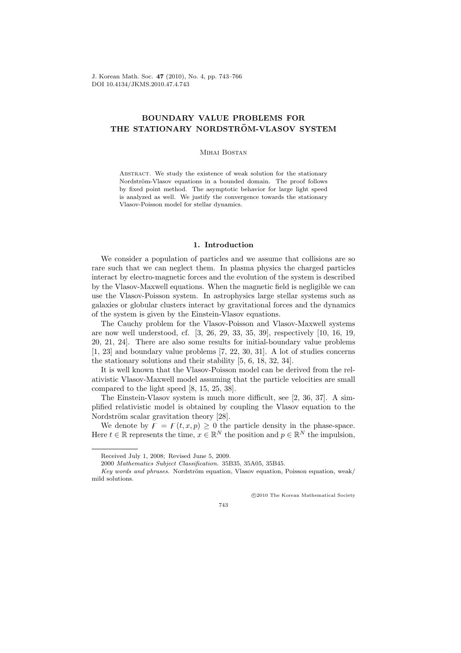J. Korean Math. Soc. 47 (2010), No. 4, pp. 743–766 DOI 10.4134/JKMS.2010.47.4.743

# BOUNDARY VALUE PROBLEMS FOR THE STATIONARY NORDSTRÖM-VLASOV SYSTEM

#### Mihai Bostan

ABSTRACT. We study the existence of weak solution for the stationary Nordström-Vlasov equations in a bounded domain. The proof follows by fixed point method. The asymptotic behavior for large light speed is analyzed as well. We justify the convergence towards the stationary Vlasov-Poisson model for stellar dynamics.

## 1. Introduction

We consider a population of particles and we assume that collisions are so rare such that we can neglect them. In plasma physics the charged particles interact by electro-magnetic forces and the evolution of the system is described by the Vlasov-Maxwell equations. When the magnetic field is negligible we can use the Vlasov-Poisson system. In astrophysics large stellar systems such as galaxies or globular clusters interact by gravitational forces and the dynamics of the system is given by the Einstein-Vlasov equations.

The Cauchy problem for the Vlasov-Poisson and Vlasov-Maxwell systems are now well understood, cf. [3, 26, 29, 33, 35, 39], respectively [10, 16, 19, 20, 21, 24]. There are also some results for initial-boundary value problems [1, 23] and boundary value problems [7, 22, 30, 31]. A lot of studies concerns the stationary solutions and their stability [5, 6, 18, 32, 34].

It is well known that the Vlasov-Poisson model can be derived from the relativistic Vlasov-Maxwell model assuming that the particle velocities are small compared to the light speed [8, 15, 25, 38].

The Einstein-Vlasov system is much more difficult, see [2, 36, 37]. A simplified relativistic model is obtained by coupling the Vlasov equation to the Nordström scalar gravitation theory [28].

We denote by  $F = F(t, x, p) \ge 0$  the particle density in the phase-space. Here  $t \in \mathbb{R}$  represents the time,  $x \in \mathbb{R}^N$  the position and  $p \in \mathbb{R}^N$  the impulsion,

°c 2010 The Korean Mathematical Society

Received July 1, 2008; Revised June 5, 2009.

<sup>2000</sup> Mathematics Subject Classification. 35B35, 35A05, 35B45.

Key words and phrases. Nordström equation, Vlasov equation, Poisson equation, weak/ mild solutions.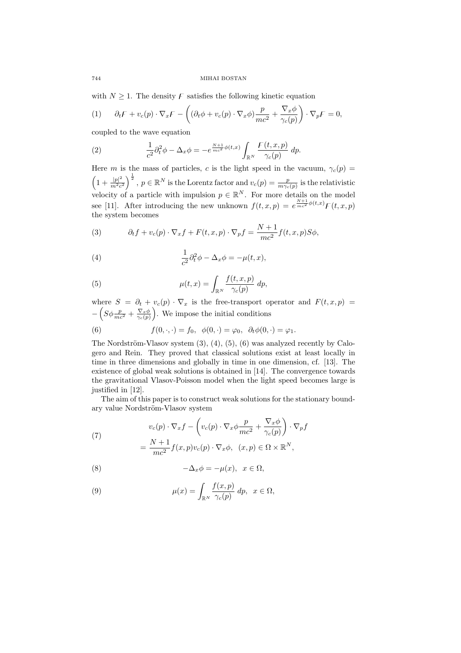with  $N \geq 1$ . The density F satisfies the following kinetic equation

(1) 
$$
\partial_t F + v_c(p) \cdot \nabla_x F - \left( (\partial_t \phi + v_c(p) \cdot \nabla_x \phi) \frac{p}{mc^2} + \frac{\nabla_x \phi}{\gamma_c(p)} \right) \cdot \nabla_p F = 0,
$$

coupled to the wave equation

(2) 
$$
\frac{1}{c^2} \partial_t^2 \phi - \Delta_x \phi = -e^{\frac{N+1}{mc^2} \phi(t,x)} \int_{\mathbb{R}^N} \frac{F(t,x,p)}{\gamma_c(p)} dp.
$$

Here m is the mass of particles, c is the light speed in the vacuum,  $\gamma_c(p)$  =  $\ddot{\phantom{0}}$  $1+\frac{|p|^2}{m^2c}$  $\overline{m^2c^2}$  $\int_{0}^{\frac{1}{2}}$ ,  $p \in \mathbb{R}^{N}$  is the Lorentz factor and  $v_c(p) = \frac{p}{m\gamma_c(p)}$  is the relativistic velocity of a particle with impulsion  $p \in \mathbb{R}^N$ . For more details on the model see [11]. After introducing the new unknown  $f(t, x, p) = e^{\frac{N+1}{mc^2}\phi(t, x)} F(t, x, p)$ the system becomes

(3) 
$$
\partial_t f + v_c(p) \cdot \nabla_x f + F(t, x, p) \cdot \nabla_p f = \frac{N+1}{mc^2} f(t, x, p) S \phi,
$$

(4) 
$$
\frac{1}{c^2}\partial_t^2 \phi - \Delta_x \phi = -\mu(t, x),
$$

(5) 
$$
\mu(t,x) = \int_{\mathbb{R}^N} \frac{f(t,x,p)}{\gamma_c(p)} dp,
$$

where  $S = \partial_t + v_c(p) \cdot \nabla_x$  is the free-transport operator and  $F(t, x, p) =$  $-\left(S\phi \frac{p}{mc^2} + \frac{\nabla_x \phi}{\gamma_c(p)}\right)$ . We impose the initial conditions

(6) 
$$
f(0,\cdot,\cdot)=f_0, \ \ \phi(0,\cdot)=\varphi_0, \ \ \partial_t\phi(0,\cdot)=\varphi_1.
$$

The Nordström-Vlasov system  $(3)$ ,  $(4)$ ,  $(5)$ ,  $(6)$  was analyzed recently by Calogero and Rein. They proved that classical solutions exist at least locally in time in three dimensions and globally in time in one dimension, cf. [13]. The existence of global weak solutions is obtained in [14]. The convergence towards the gravitational Vlasov-Poisson model when the light speed becomes large is justified in [12].

The aim of this paper is to construct weak solutions for the stationary boundary value Nordström-Vlasov system  $\overline{a}$  $\mathbf{r}$ 

f(x, p)

(7) 
$$
v_c(p) \cdot \nabla_x f - \left(v_c(p) \cdot \nabla_x \phi \frac{p}{mc^2} + \frac{\nabla_x \phi}{\gamma_c(p)}\right) \cdot \nabla_p f
$$

$$
N + 1_{c(\phi)} \quad \text{for } c \in \mathbb{R}^N
$$

$$
= \frac{N+1}{mc^2} f(x, p)v_c(p) \cdot \nabla_x \phi, \ \ (x, p) \in \Omega \times \mathbb{R}^N,
$$

(8) 
$$
-\Delta_x \phi = -\mu(x), \quad x \in \Omega,
$$

(9) 
$$
\mu(x) = \int_{\mathbb{R}^N} \frac{f(x, p)}{\gamma_c(p)} dp, \quad x \in \Omega,
$$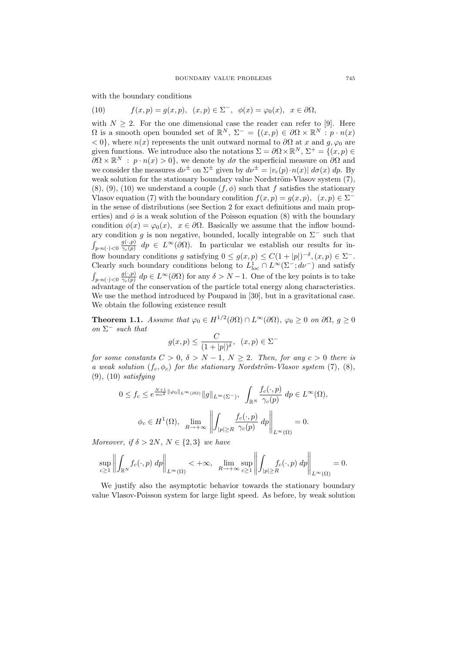with the boundary conditions

(10) 
$$
f(x,p) = g(x,p), \ (x,p) \in \Sigma^-, \ \phi(x) = \varphi_0(x), \ x \in \partial\Omega,
$$

with  $N > 2$ . For the one dimensional case the reader can refer to [9]. Here  $\Omega$  is a smooth open bounded set of  $\mathbb{R}^N$ ,  $\Sigma^- = \{(x, p) \in \partial\Omega \times \mathbb{R}^N : p \cdot n(x)$  $<$  0}, where  $n(x)$  represents the unit outward normal to  $\partial\Omega$  at x and g,  $\varphi_0$  are given functions. We introduce also the notations  $\Sigma = \partial \Omega \times \mathbb{R}^N$ ,  $\Sigma^+ = \{(x, p) \in \Omega\}$  $\partial\Omega \times \mathbb{R}^N : p \cdot n(x) > 0$ , we denote by  $d\sigma$  the superficial measure on  $\partial\Omega$  and we consider the measures  $d\nu^{\pm}$  on  $\Sigma^{\pm}$  given by  $d\nu^{\pm} = |v_c(p) \cdot n(x)| d\sigma(x) dp$ . By weak solution for the stationary boundary value Nordström-Vlasov system  $(7)$ ,  $(8)$ ,  $(9)$ ,  $(10)$  we understand a couple  $(f, \phi)$  such that f satisfies the stationary Vlasov equation (7) with the boundary condition  $f(x, p) = g(x, p)$ ,  $(x, p) \in \Sigma^$ in the sense of distributions (see Section 2 for exact definitions and main properties) and  $\phi$  is a weak solution of the Poisson equation (8) with the boundary condition  $\phi(x) = \varphi_0(x)$ ,  $x \in \partial \Omega$ . Basically we assume that the inflow boundary condition g is non negative, bounded, locally integrable on  $\Sigma^-$  such that  $p\!\cdot\!n(\cdot)\!\!<\!\!0$  $g(\cdot,p)$  $\frac{g(\cdot,p)}{\gamma_c(p)}$   $dp \in L^{\infty}(\partial\Omega)$ . In particular we establish our results for inflow boundary conditions g satisfying  $0 \le g(x,p) \le C(1+|p|)^{-\delta}, (x,p) \in \Sigma^{-}$ . Clearly such boundary conditions belong to  $L^1_{loc} \cap L^{\infty}(\Sigma^-; d\nu^-)$  and satisfy  $p\cdot n(\cdot)$   $<$  0  $g(\cdot,p)$  $\frac{g(\cdot,p)}{\gamma_c(p)} dp \in L^{\infty}(\partial\Omega)$  for any  $\delta > N-1$ . One of the key points is to take  $\alpha_{\text{part}}$  advantage of the conservation of the particle total energy along characteristics. We use the method introduced by Poupaud in [30], but in a gravitational case. We obtain the following existence result

**Theorem 1.1.** Assume that  $\varphi_0 \in H^{1/2}(\partial \Omega) \cap L^{\infty}(\partial \Omega)$ ,  $\varphi_0 \geq 0$  on  $\partial \Omega$ ,  $g \geq 0$ on  $\Sigma^-$  such that

$$
g(x,p) \le \frac{C}{(1+|p|)^{\delta}}, \ \ (x,p) \in \Sigma^-
$$

for some constants  $C > 0$ ,  $\delta > N - 1$ ,  $N \ge 2$ . Then, for any  $c > 0$  there is a weak solution  $(f_c, \phi_c)$  for the stationary Nordström-Vlasov system (7), (8),  $(9)$ ,  $(10)$  satisfying

$$
0 \le f_c \le e^{\frac{N+1}{mc^2} \|\varphi_0\|_{L^{\infty}(\partial\Omega)}} \|g\|_{L^{\infty}(\Sigma^-)}, \int_{\mathbb{R}^N} \frac{f_c(\cdot, p)}{\gamma_c(p)} dp \in L^{\infty}(\Omega),
$$
  

$$
\phi_c \in H^1(\Omega), \lim_{R \to +\infty} \left\| \int_{|p| \ge R} \frac{f_c(\cdot, p)}{\gamma_c(p)} dp \right\|_{L^{\infty}(\Omega)} = 0.
$$

Moreover, if  $\delta > 2N$ ,  $N \in \{2,3\}$  we have

$$
\sup_{c\geq 1}\left\|\int_{\mathbb{R}^N}f_c(\cdot,p)\; dp\right\|_{L^\infty(\Omega)} <+\infty,\;\;\lim_{R\to+\infty}\sup_{c\geq 1}\left\|\int_{|p|\geq R}f_c(\cdot,p)\; dp\right\|_{L^\infty(\Omega)}=0.
$$

We justify also the asymptotic behavior towards the stationary boundary value Vlasov-Poisson system for large light speed. As before, by weak solution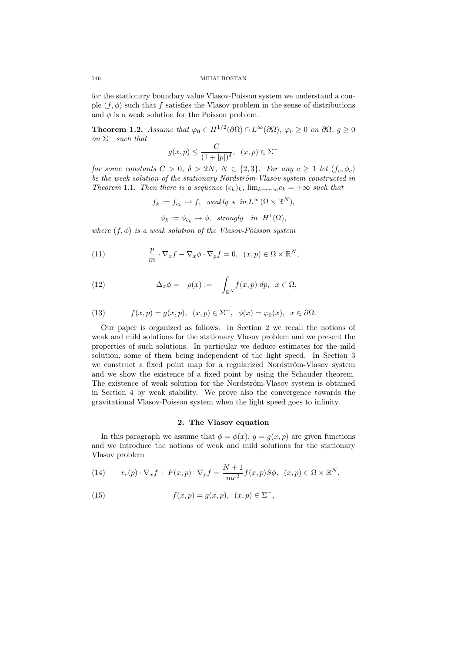for the stationary boundary value Vlasov-Poisson system we understand a couple  $(f, \phi)$  such that f satisfies the Vlasov problem in the sense of distributions and  $\phi$  is a weak solution for the Poisson problem.

**Theorem 1.2.** Assume that  $\varphi_0 \in H^{1/2}(\partial\Omega) \cap L^{\infty}(\partial\Omega)$ ,  $\varphi_0 \geq 0$  on  $\partial\Omega$ ,  $g \geq 0$ on  $\Sigma^-$  such that

$$
g(x,p) \le \frac{C}{(1+|p|)^{\delta}}, \ \ (x,p) \in \Sigma^-
$$

for some constants  $C > 0$ ,  $\delta > 2N$ ,  $N \in \{2,3\}$ . For any  $c \ge 1$  let  $(f_c, \phi_c)$ be the weak solution of the stationary Nordström-Vlasov system constructed in Theorem 1.1. Then there is a sequence  $(c_k)_k$ ,  $\lim_{k\to+\infty}c_k = +\infty$  such that

 $f_k := f_{c_k} \rightharpoonup f$ , weakly  $\star$  in  $L^{\infty}(\Omega \times \mathbb{R}^N)$ ,

$$
\phi_k := \phi_{c_k} \to \phi, \text{ strongly in } H^1(\Omega),
$$

where  $(f, \phi)$  is a weak solution of the Vlasov-Poisson system

(11) 
$$
\frac{p}{m} \cdot \nabla_x f - \nabla_x \phi \cdot \nabla_p f = 0, \ (x, p) \in \Omega \times \mathbb{R}^N,
$$

(12) 
$$
-\Delta_x \phi = -\rho(x) := -\int_{\mathbb{R}^N} f(x, p) dp, \quad x \in \Omega,
$$

(13) 
$$
f(x,p) = g(x,p), \ (x,p) \in \Sigma^-, \ \phi(x) = \varphi_0(x), \ x \in \partial \Omega.
$$

Our paper is organized as follows. In Section 2 we recall the notions of weak and mild solutions for the stationary Vlasov problem and we present the properties of such solutions. In particular we deduce estimates for the mild solution, some of them being independent of the light speed. In Section 3 we construct a fixed point map for a regularized Nordström-Vlasov system and we show the existence of a fixed point by using the Schauder theorem. The existence of weak solution for the Nordström-Vlasov system is obtained in Section 4 by weak stability. We prove also the convergence towards the gravitational Vlasov-Poisson system when the light speed goes to infinity.

### 2. The Vlasov equation

In this paragraph we assume that  $\phi = \phi(x)$ ,  $g = g(x, p)$  are given functions and we introduce the notions of weak and mild solutions for the stationary Vlasov problem

(14) 
$$
v_c(p) \cdot \nabla_x f + F(x, p) \cdot \nabla_p f = \frac{N+1}{mc^2} f(x, p) S\phi, \quad (x, p) \in \Omega \times \mathbb{R}^N,
$$

(15) 
$$
f(x,p) = g(x,p), \ (x,p) \in \Sigma^-,
$$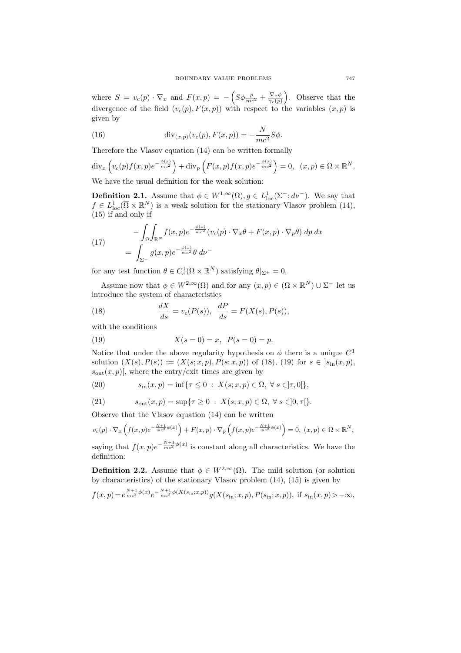where  $S = v_c(p) \cdot \nabla_x$  and  $F(x, p) = \overline{a}$  $S\phi \frac{p}{mc^2} + \frac{\nabla_x \phi}{\gamma_c(p)}$ ´ . Observe that the divergence of the field  $(v_c(p), F(x, p))$  with respect to the variables  $(x, p)$  is given by

(16) 
$$
\operatorname{div}_{(x,p)}(v_c(p), F(x,p)) = -\frac{N}{mc^2} S\phi.
$$

Therefore the Vlasov equation (14) can be written formally

$$
\operatorname{div}_x \left( v_c(p) f(x, p) e^{-\frac{\phi(x)}{mc^2}} \right) + \operatorname{div}_p \left( F(x, p) f(x, p) e^{-\frac{\phi(x)}{mc^2}} \right) = 0, \ \ (x, p) \in \Omega \times \mathbb{R}^N.
$$

We have the usual definition for the weak solution:

**Definition 2.1.** Assume that  $\phi \in W^{1,\infty}(\Omega)$ ,  $g \in L^1_{loc}(\Sigma^{-}; d\nu^{-})$ . We say that  $f \in L^1_{loc}(\overline{\Omega} \times \mathbb{R}^N)$  is a weak solution for the stationary Vlasov problem (14), (15) if and only if Z

(17) 
$$
- \int_{\Omega} \int_{\mathbb{R}^N} f(x, p) e^{-\frac{\phi(x)}{mc^2}} (v_c(p) \cdot \nabla_x \theta + F(x, p) \cdot \nabla_p \theta) dp dx
$$

$$
= \int_{\Sigma^-} g(x, p) e^{-\frac{\phi(x)}{mc^2}} \theta d\nu^-
$$

for any test function  $\theta \in C_c^1(\overline{\Omega} \times \mathbb{R}^N)$  satisfying  $\theta|_{\Sigma^+} = 0$ .

Assume now that  $\phi \in W^{2,\infty}(\Omega)$  and for any  $(x, p) \in (\Omega \times \mathbb{R}^N) \cup \Sigma^{-}$  let us introduce the system of characteristics

(18) 
$$
\frac{dX}{ds} = v_c(P(s)), \frac{dP}{ds} = F(X(s), P(s)),
$$

with the conditions

(19) 
$$
X(s = 0) = x, \ P(s = 0) = p.
$$

Notice that under the above regularity hypothesis on  $\phi$  there is a unique  $C^1$ solution  $(X(s), P(s)) := (X(s; x, p), P(s; x, p))$  of (18), (19) for  $s \in s_{\text{in}}(x, p)$ ,  $s<sub>out</sub>(x, p)$ , where the entry/exit times are given by

(20) 
$$
s_{\text{in}}(x,p) = \inf \{ \tau \le 0 \; : \; X(s;x,p) \in \Omega, \; \forall \; s \in ]\tau,0[ \},
$$

(21) 
$$
s_{\text{out}}(x, p) = \sup \{ \tau \ge 0 : X(s; x, p) \in \Omega, \ \forall \ s \in ]0, \tau[ \}.
$$

Observe that the Vlasov equation (14) can be written

$$
v_c(p)\cdot\nabla_x\left(f(x,p)e^{-\frac{N+1}{mc^2}\phi(x)}\right)+F(x,p)\cdot\nabla_p\left(f(x,p)e^{-\frac{N+1}{mc^2}\phi(x)}\right)=0,\ (x,p)\in\Omega\times\mathbb{R}^N,
$$

saying that  $f(x,p)e^{-\frac{N+1}{mc^2}\phi(x)}$  is constant along all characteristics. We have the definition:

**Definition 2.2.** Assume that  $\phi \in W^{2,\infty}(\Omega)$ . The mild solution (or solution by characteristics) of the stationary Vlasov problem (14), (15) is given by

$$
f(x,p)\!=\!e^{\frac{N+1}{mc^2}\phi(x)}e^{-\frac{N+1}{mc^2}\phi(X(s_{\mathrm{in}};x,p))}g(X(s_{\mathrm{in}};x,p),P(s_{\mathrm{in}};x,p)),\;\mathrm{if}\;s_{\mathrm{in}}(x,p)\!>\!-\infty,
$$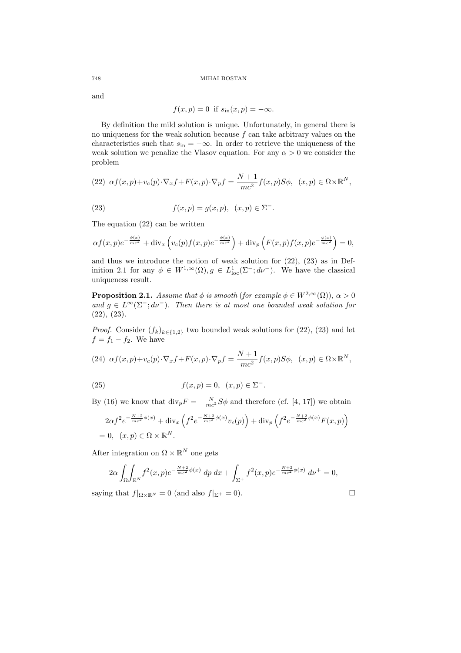#### 748 MIHAI BOSTAN

and

$$
f(x,p) = 0
$$
 if  $s_{\text{in}}(x,p) = -\infty$ .

By definition the mild solution is unique. Unfortunately, in general there is no uniqueness for the weak solution because  $f$  can take arbitrary values on the characteristics such that  $s_{\text{in}} = -\infty$ . In order to retrieve the uniqueness of the weak solution we penalize the Vlasov equation. For any  $\alpha > 0$  we consider the problem

(22) 
$$
\alpha f(x,p)+v_c(p)\cdot \nabla_x f + F(x,p)\cdot \nabla_p f = \frac{N+1}{mc^2}f(x,p)S\phi, \quad (x,p)\in \Omega\times\mathbb{R}^N,
$$

(23) 
$$
f(x,p) = g(x,p), (x,p) \in \Sigma^-.
$$

The equation (22) can be written

$$
\alpha f(x,p)e^{-\frac{\phi(x)}{mc^2}} + \text{div}_x\left(v_c(p)f(x,p)e^{-\frac{\phi(x)}{mc^2}}\right) + \text{div}_p\left(F(x,p)f(x,p)e^{-\frac{\phi(x)}{mc^2}}\right) = 0,
$$

and thus we introduce the notion of weak solution for (22), (23) as in Definition 2.1 for any  $\phi \in W^{1,\infty}(\Omega)$ ,  $g \in L^1_{loc}(\Sigma^{-}; d\nu^{-})$ . We have the classical uniqueness result.

**Proposition 2.1.** Assume that  $\phi$  is smooth (for example  $\phi \in W^{2,\infty}(\Omega)$ ),  $\alpha > 0$ and  $g \in L^{\infty}(\Sigma^{-}; d\nu^{-})$ . Then there is at most one bounded weak solution for  $(22), (23).$ 

*Proof.* Consider  $(f_k)_{k\in\{1,2\}}$  two bounded weak solutions for (22), (23) and let  $f = f_1 - f_2$ . We have

(24) 
$$
\alpha f(x,p)+v_c(p)\cdot \nabla_x f + F(x,p)\cdot \nabla_p f = \frac{N+1}{mc^2}f(x,p)S\phi, \quad (x,p)\in \Omega\times\mathbb{R}^N,
$$

(25) 
$$
f(x,p) = 0, (x,p) \in \Sigma^-.
$$

By (16) we know that  $\text{div}_p F = -\frac{N}{mc^2} S\phi$  and therefore (cf. [4, 17]) we obtain

$$
2\alpha f^{2} e^{-\frac{N+2}{mc^{2}}\phi(x)} + \text{div}_{x} \left( f^{2} e^{-\frac{N+2}{mc^{2}}\phi(x)} v_{c}(p) \right) + \text{div}_{p} \left( f^{2} e^{-\frac{N+2}{mc^{2}}\phi(x)} F(x, p) \right)
$$
  
= 0,  $(x, p) \in \Omega \times \mathbb{R}^{N}$ .

After integration on  $\Omega \times \mathbb{R}^N$  one gets

$$
2\alpha \int_{\Omega} \int_{\mathbb{R}^N} f^2(x, p) e^{-\frac{N+2}{mc^2}\phi(x)} dp \, dx + \int_{\Sigma^+} f^2(x, p) e^{-\frac{N+2}{mc^2}\phi(x)} d\nu^+ = 0,
$$
  
saying that  $f|_{\Omega \times \mathbb{R}^N} = 0$  (and also  $f|_{\Sigma^+} = 0$ ).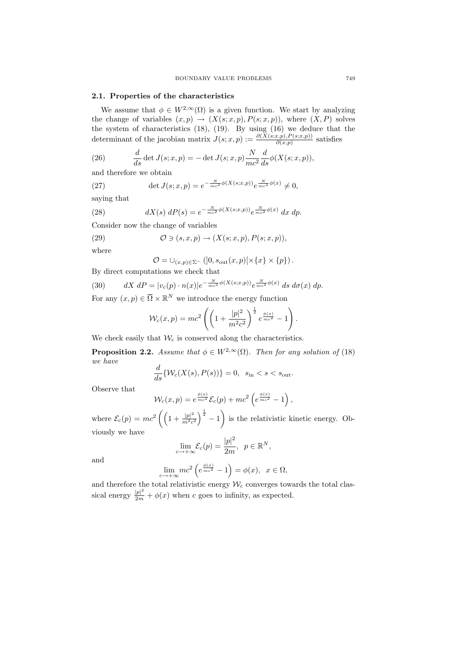### 2.1. Properties of the characteristics

We assume that  $\phi \in W^{2,\infty}(\Omega)$  is a given function. We start by analyzing the change of variables  $(x, p) \rightarrow (X(s; x, p), P(s; x, p))$ , where  $(X, P)$  solves the system of characteristics (18), (19). By using (16) we deduce that the determinant of the jacobian matrix  $J(s; x, p) := \frac{\partial (X(s; x, p), P(s; x, p))}{\partial (x, p)}$  satisfies

(26) 
$$
\frac{d}{ds}\det J(s;x,p) = -\det J(s;x,p)\frac{N}{mc^2}\frac{d}{ds}\phi(X(s;x,p)),
$$

and therefore we obtain

(27) 
$$
\det J(s; x, p) = e^{-\frac{N}{mc^2}\phi(X(s; x, p))}e^{\frac{N}{mc^2}\phi(x)} \neq 0,
$$

saying that

(28) 
$$
dX(s) dP(s) = e^{-\frac{N}{mc^2}\phi(X(s;x,p))}e^{\frac{N}{mc^2}\phi(x)} dx dp.
$$

Consider now the change of variables

(29) 
$$
\mathcal{O} \ni (s, x, p) \rightarrow (X(s; x, p), P(s; x, p)),
$$

where

$$
\mathcal{O} = \cup_{(x,p)\in\Sigma^-} ([0, s_{\text{out}}(x, p)[\times\{x\}\times\{p\}).
$$

By direct computations we check that

(30) 
$$
dX dP = |v_c(p) \cdot n(x)|e^{-\frac{N}{mc^2}\phi(X(s;x,p))}e^{\frac{N}{mc^2}\phi(x)} ds d\sigma(x) dp.
$$

For any  $(x, p) \in \overline{\Omega} \times \mathbb{R}^N$  we introduce the energy function

$$
W_c(x,p) = mc^2 \left( \left( 1 + \frac{|p|^2}{m^2 c^2} \right)^{\frac{1}{2}} e^{\frac{\phi(x)}{mc^2}} - 1 \right)
$$

.

We check easily that  $W_c$  is conserved along the characteristics.

**Proposition 2.2.** Assume that  $\phi \in W^{2,\infty}(\Omega)$ . Then for any solution of (18) we have

$$
\frac{d}{ds}\{\mathcal{W}_c(X(s), P(s))\} = 0, \ \ s_{\text{in}} < s < s_{\text{out}}.
$$

Observe that

$$
\mathcal{W}_c(x,p) = e^{\frac{\phi(x)}{mc^2}} \mathcal{E}_c(p) + mc^2 \left( e^{\frac{\phi(x)}{mc^2}} - 1 \right),
$$

where  $\mathcal{E}_c(p) = mc^2$  $1+\frac{|p|^2}{m^2c}$  $\overline{m^2c^2}$  $\big)^{\frac{1}{2}} - 1$ is the relativistic kinetic energy. Obviously we have

$$
\lim_{c \to +\infty} \mathcal{E}_c(p) = \frac{|p|^2}{2m}, \ \ p \in \mathbb{R}^N,
$$

and

$$
\lim_{c \to +\infty} mc^2 \left(e^{\frac{\phi(x)}{mc^2}} - 1\right) = \phi(x), \ \ x \in \Omega,
$$

and therefore the total relativistic energy  $W_c$  converges towards the total classical energy  $\frac{|p|^2}{2m} + \phi(x)$  when c goes to infinity, as expected.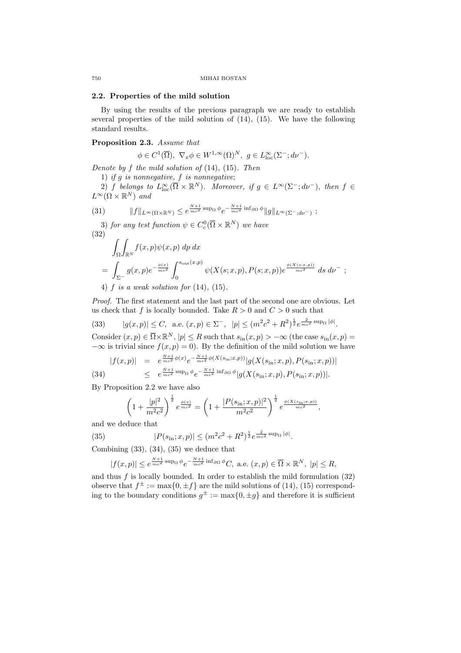### 2.2. Properties of the mild solution

By using the results of the previous paragraph we are ready to establish several properties of the mild solution of (14), (15). We have the following standard results.

### Proposition 2.3. Assume that

$$
\phi \in C^1(\overline{\Omega}), \ \nabla_x \phi \in W^{1,\infty}(\Omega)^N, \ g \in L^{\infty}_{loc}(\Sigma^{-}; d\nu^{-}).
$$

Denote by  $f$  the mild solution of  $(14)$ ,  $(15)$ . Then

1) if  $g$  is nonnegative,  $f$  is nonnegative;

2) f belongs to  $L^{\infty}_{loc}(\overline{\Omega}\times\mathbb{R}^N)$ . Moreover, if  $g \in L^{\infty}(\Sigma^{-}; d\nu^{-})$ , then  $f \in$  $L^{\infty}(\Omega \times \mathbb{R}^N)$  and

$$
(31) \t\t ||f||_{L^{\infty}(\Omega \times \mathbb{R}^N)} \leq e^{\frac{N+1}{mc^2} \sup_{\Omega} \phi} e^{-\frac{N+1}{mc^2} \inf_{\partial \Omega} \phi} ||g||_{L^{\infty}(\Sigma^-; d\nu^-)} ;
$$

3) for any test function  $\psi \in C_c^0(\overline{\Omega} \times \mathbb{R}^N)$  we have (32)

$$
\int_{\Omega} \int_{\mathbb{R}^N} f(x, p)\psi(x, p) dp dx
$$
\n
$$
= \int_{\Sigma^{-}} g(x, p)e^{-\frac{\phi(x)}{mc^2}} \int_{0}^{s_{\text{out}}(x, p)} \psi(X(s; x, p), P(s; x, p))e^{\frac{\phi(X(s; x, p))}{mc^2}} ds d\nu;
$$
\n4) f is a weak solution for (14), (15).

Proof. The first statement and the last part of the second one are obvious. Let us check that f is locally bounded. Take  $R > 0$  and  $C > 0$  such that

(33) 
$$
|g(x,p)| \le C
$$
, a.e.  $(x,p) \in \Sigma^-$ ,  $|p| \le (m^2c^2 + R^2)^{\frac{1}{2}}e^{\frac{2}{mc^2}\sup_{\Omega}|\phi|}$ .  
Consider  $(x, p) \subset \overline{O} \times \mathbb{P}^N$ ,  $|p| \le B$  such that  $g_n(x, p) > -\infty$  (the case  $g_n(x)$ 

Consider  $(x, p) \in \overline{\Omega} \times \mathbb{R}^N$ ,  $|p| \le R$  such that  $s_{\text{in}}(x, p) > -\infty$  (the case  $s_{\text{in}}(x, p) =$  $-\infty$  is trivial since  $f(x, p) = 0$ . By the definition of the mild solution we have

$$
|f(x,p)| = e^{\frac{N+1}{mc^2}\phi(x)}e^{-\frac{N+1}{mc^2}\phi(X(s_{\rm in};x,p))}|g(X(s_{\rm in};x,p),P(s_{\rm in};x,p))|
$$
  
(34) 
$$
\leq e^{\frac{N+1}{mc^2}\sup_{\Omega}\phi}e^{-\frac{N+1}{mc^2}\inf_{\partial\Omega}\phi}|g(X(s_{\rm in};x,p),P(s_{\rm in};x,p))|.
$$

By Proposition 2.2 we have also

$$
\left(1+\frac{|p|^2}{m^2c^2}\right)^{\frac{1}{2}}e^{\frac{\phi(x)}{mc^2}}=\left(1+\frac{|P(s_{\rm in};x,p)|^2}{m^2c^2}\right)^{\frac{1}{2}}e^{\frac{\phi(X(s_{\rm in};x,p))}{mc^2}},
$$

and we deduce that

(35) 
$$
|P(s_{\text{in}}; x, p)| \le (m^2 c^2 + R^2)^{\frac{1}{2}} e^{\frac{2}{mc^2} \sup_{\Omega} |\phi|}.
$$

Combining (33), (34), (35) we deduce that

$$
|f(x,p)| \le e^{\frac{N+1}{mc^2} \sup_{\Omega} \phi} e^{-\frac{N+1}{mc^2} \inf_{\partial \Omega} \phi} C, \text{ a.e. } (x,p) \in \overline{\Omega} \times \mathbb{R}^N, |p| \le R,
$$

and thus  $f$  is locally bounded. In order to establish the mild formulation  $(32)$ observe that  $f^{\pm} := \max\{0, \pm f\}$  are the mild solutions of (14), (15) corresponding to the boundary conditions  $g^{\pm} := \max\{0, \pm g\}$  and therefore it is sufficient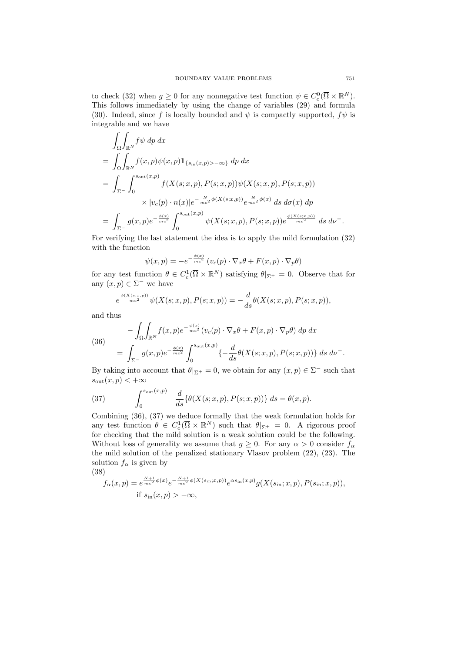to check (32) when  $g \ge 0$  for any nonnegative test function  $\psi \in C_c^0(\overline{\Omega} \times \mathbb{R}^N)$ . This follows immediately by using the change of variables (29) and formula (30). Indeed, since f is locally bounded and  $\psi$  is compactly supported,  $f\psi$  is integrable and we have Z

$$
\int_{\Omega} \int_{\mathbb{R}^N} f \psi \, dp \, dx
$$
\n
$$
= \int_{\Omega} \int_{\mathbb{R}^N} f(x, p) \psi(x, p) \mathbf{1}_{\{s_{\text{in}}(x, p) > -\infty\}} \, dp \, dx
$$
\n
$$
= \int_{\Sigma^{-}} \int_{0}^{s_{\text{out}}(x, p)} f(X(s; x, p), P(s; x, p)) \psi(X(s; x, p), P(s; x, p))
$$
\n
$$
\times |v_c(p) \cdot n(x)| e^{-\frac{N}{mc^2} \phi(X(s; x, p))} e^{\frac{N}{mc^2} \phi(x)} \, ds \, d\sigma(x) \, dp
$$
\n
$$
= \int_{\Sigma^{-}} g(x, p) e^{-\frac{\phi(x)}{mc^2}} \int_{0}^{s_{\text{out}}(x, p)} \psi(X(s; x, p), P(s; x, p)) e^{\frac{\phi(X(s; x, p))}{mc^2}} \, ds \, d\nu^{-}.
$$

For verifying the last statement the idea is to apply the mild formulation (32) with the function

$$
\psi(x,p) = -e^{-\frac{\phi(x)}{mc^2}} \left( v_c(p) \cdot \nabla_x \theta + F(x,p) \cdot \nabla_p \theta \right)
$$

for any test function  $\theta \in C_c^1(\overline{\Omega} \times \mathbb{R}^N)$  satisfying  $\theta|_{\Sigma^+} = 0$ . Observe that for any  $(x, p) \in \Sigma^-$  we have

$$
e^{\frac{\phi(X(s;x,p))}{mc^2}}\psi(X(s;x,p),P(s;x,p))=-\frac{d}{ds}\theta(X(s;x,p),P(s;x,p)),
$$

and thus

(36)  

$$
- \int_{\Omega} \int_{\mathbb{R}^N} f(x, p) e^{-\frac{\phi(x)}{mc^2}} (v_c(p) \cdot \nabla_x \theta + F(x, p) \cdot \nabla_p \theta) dp dx
$$

$$
= \int_{\Sigma^-} g(x, p) e^{-\frac{\phi(x)}{mc^2}} \int_0^{s_{\text{out}}(x, p)} \{-\frac{d}{ds} \theta(X(s; x, p), P(s; x, p))\} ds d\nu^-.
$$

By taking into account that  $\theta|_{\Sigma^+} = 0$ , we obtain for any  $(x, p) \in \Sigma^-$  such that  $s_{\text{out}}(x, p) < +\infty$ 

(37) 
$$
\int_0^{s_{\text{out}}(x,p)} -\frac{d}{ds} \{\theta(X(s;x,p), P(s;x,p))\} ds = \theta(x,p).
$$

Combining (36), (37) we deduce formally that the weak formulation holds for any test function  $\theta \in C_c^1(\overline{\Omega} \times \mathbb{R}^N)$  such that  $\theta|_{\Sigma^+} = 0$ . A rigorous proof for checking that the mild solution is a weak solution could be the following. Without loss of generality we assume that  $g \geq 0$ . For any  $\alpha > 0$  consider  $f_{\alpha}$ the mild solution of the penalized stationary Vlasov problem (22), (23). The solution  $f_{\alpha}$  is given by (38)

$$
f_{\alpha}(x,p) = e^{\frac{N+1}{mc^2}\phi(x)}e^{-\frac{N+1}{mc^2}\phi(X(s_{\text{in}};x,p))}e^{\alpha s_{\text{in}}(x,p)}g(X(s_{\text{in}};x,p),P(s_{\text{in}};x,p)),
$$
  
if  $s_{\text{in}}(x,p) > -\infty$ ,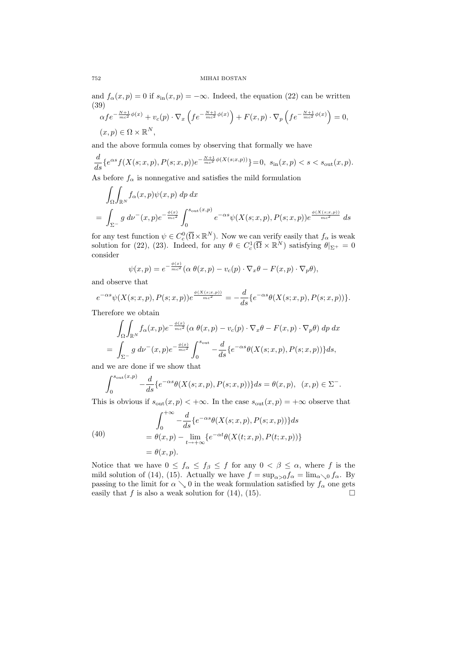and  $f_{\alpha}(x, p) = 0$  if  $s_{\text{in}}(x, p) = -\infty$ . Indeed, the equation (22) can be written (39)  $\alpha f e^{-\frac{N+1}{mc^2}\phi(x)} + v_c(p) \cdot \nabla_x$  $\int_{}^{} f e^{-\frac{N+1}{mc^2}\phi(x)}$ ´  $+ F(x,p) \cdot \nabla_p$  $\int \int e^{-\frac{N+1}{mc^2}\phi(x)}$ ´  $= 0,$ 

$$
\alpha f e^{-mc^2 \psi(x)} + v_c(p) \cdot \nabla_x \left( f e^{-mc^2 \psi(x)} \right) + F(x, p) \cdot \nabla_p \left( f e^{-mc^2 \psi(x)} \right)
$$
  

$$
(x, p) \in \Omega \times \mathbb{R}^N,
$$

and the above formula comes by observing that formally we have

$$
\frac{d}{ds}\left\{e^{\alpha s}f(X(s;x,p),P(s;x,p))e^{-\frac{N+1}{mc^2}\phi(X(s;x,p))}\right\}=0, s_{\text{in}}(x,p)
$$

As before  $f_{\alpha}$  is nonnegative and satisfies the mild formulation

$$
\int_{\Omega} \int_{\mathbb{R}^N} f_{\alpha}(x, p) \psi(x, p) dp dx
$$
\n
$$
= \int_{\Sigma^{-}} g \, d\nu^{-}(x, p) e^{-\frac{\phi(x)}{mc^{2}}} \int_{0}^{s_{\text{out}}(x, p)} e^{-\alpha s} \psi(X(s; x, p), P(s; x, p)) e^{\frac{\phi(X(s; x, p))}{mc^{2}}} ds
$$

for any test function  $\psi \in C_c^0(\overline{\Omega} \times \mathbb{R}^N)$ . Now we can verify easily that  $f_\alpha$  is weak solution for (22), (23). Indeed, for any  $\theta \in C_c^1(\overline{\Omega} \times \mathbb{R}^N)$  satisfying  $\theta|_{\Sigma^+} = 0$ consider  $\mathcal{L}(\mathbf{x})$ 

$$
\psi(x,p) = e^{-\frac{\phi(x)}{mc^2}} (\alpha \theta(x,p) - v_c(p) \cdot \nabla_x \theta - F(x,p) \cdot \nabla_p \theta),
$$

and observe that

$$
e^{-\alpha s}\psi(X(s;x,p),P(s;x,p))e^{\frac{\phi(X(s;x,p))}{mc^2}} = -\frac{d}{ds}\{e^{-\alpha s}\theta(X(s;x,p),P(s;x,p))\}.
$$

Therefore we obtain

$$
\int_{\Omega} \int_{\mathbb{R}^N} f_{\alpha}(x, p) e^{-\frac{\phi(x)}{mc^2}} (\alpha \theta(x, p) - v_c(p) \cdot \nabla_x \theta - F(x, p) \cdot \nabla_p \theta) dp dx
$$
  
= 
$$
\int_{\Sigma^-} g \, d\nu^-(x, p) e^{-\frac{\phi(x)}{mc^2}} \int_0^{s_{\text{out}}} -\frac{d}{ds} \{e^{-\alpha s} \theta(X(s; x, p), P(s; x, p))\} ds,
$$

and we are done if we show that

$$
\int_0^{s_{\text{out}}(x,p)} -\frac{d}{ds} \{e^{-\alpha s}\theta(X(s;x,p), P(s;x,p))\} ds = \theta(x,p), \ (x,p) \in \Sigma^-.
$$

This is obvious if  $s_{\text{out}}(x, p) < +\infty$ . In the case  $s_{\text{out}}(x, p) = +\infty$  observe that

(40)  
\n
$$
\int_0^{+\infty} -\frac{d}{ds} \{e^{-\alpha s} \theta(X(s; x, p), P(s; x, p))\} ds
$$
\n
$$
= \theta(x, p) - \lim_{t \to +\infty} \{e^{-\alpha t} \theta(X(t; x, p), P(t; x, p))\}
$$
\n
$$
= \theta(x, p).
$$

Notice that we have  $0 \le f_{\alpha} \le f_{\beta} \le f$  for any  $0 < \beta \le \alpha$ , where f is the mild solution of (14), (15). Actually we have  $f = \sup_{\alpha>0} f_{\alpha} = \lim_{\alpha\searrow0} f_{\alpha}$ . By passing to the limit for  $\alpha \searrow 0$  in the weak formulation satisfied by  $f_{\alpha}$  one gets easily that f is also a weak solution for (14), (15).  $\Box$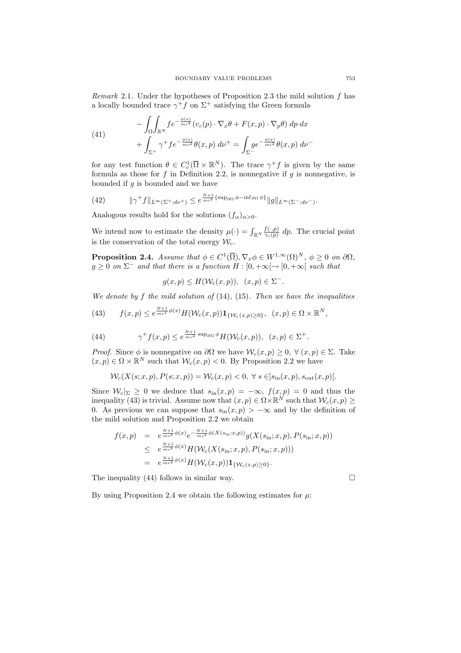Remark 2.1. Under the hypotheses of Proposition 2.3 the mild solution  $f$  has a locally bounded trace  $\gamma^+ f$  on  $\Sigma^+$  satisfying the Green formula

(41)  

$$
- \int_{\Omega} \int_{\mathbb{R}^N} f e^{-\frac{\phi(x)}{mc^2}} (v_c(p) \cdot \nabla_x \theta + F(x, p) \cdot \nabla_p \theta) dp dx
$$

$$
+ \int_{\Sigma^+} \gamma^+ f e^{-\frac{\phi(x)}{mc^2}} \theta(x, p) d\nu^+ = \int_{\Sigma^-} g e^{-\frac{\phi(x)}{mc^2}} \theta(x, p) d\nu^-
$$

for any test function  $\theta \in C_c^1(\overline{\Omega} \times \mathbb{R}^N)$ . The trace  $\gamma^+ f$  is given by the same formula as those for f in Definition 2.2, is nonnegative if  $g$  is nonnegative, is bounded if  $q$  is bounded and we have

(42) 
$$
\|\gamma^+ f\|_{L^\infty(\Sigma^+, d\nu^+)} \leq e^{\frac{N+1}{mc^2}\{\sup_{\partial\Omega}\phi - \inf_{\partial\Omega}\phi\}} \|g\|_{L^\infty(\Sigma^-, d\nu^-)}.
$$

Analogous results hold for the solutions  $(f_{\alpha})_{\alpha>0}$ .

**Z** 

We intend now to estimate the density  $\mu(\cdot) = \int_{\mathbb{R}^N} \frac{f(\cdot, p)}{\gamma_c(p)}$  $\frac{f(\cdot,p)}{\gamma_c(p)}$  dp. The crucial point is the conservation of the total energy  $\mathcal{W}_c$ .

**Proposition 2.4.** Assume that  $\phi \in C^1(\overline{\Omega}), \nabla_x \phi \in W^{1,\infty}(\Omega)^N$ ,  $\phi \geq 0$  on  $\partial \Omega$ ,  $g \geq 0$  on  $\Sigma^-$  and that there is a function  $H : [0, +\infty) \to [0, +\infty)$  such that

$$
g(x,p) \le H(\mathcal{W}_c(x,p)), (x,p) \in \Sigma^-.
$$

We denote by  $f$  the mild solution of  $(14)$ ,  $(15)$ . Then we have the inequalities

(43) 
$$
f(x,p) \leq e^{\frac{N+1}{mc^2}\phi(x)}H(\mathcal{W}_c(x,p))\mathbf{1}_{\{\mathcal{W}_c(x,p)\geq 0\}},\ (x,p) \in \Omega \times \mathbb{R}^N,
$$

(44) 
$$
\gamma^+ f(x,p) \leq e^{\frac{N+1}{mc^2} \sup_{\partial \Omega} \phi} H(\mathcal{W}_c(x,p)), \ (x,p) \in \Sigma^+.
$$

*Proof.* Since  $\phi$  is nonnegative on  $\partial\Omega$  we have  $\mathcal{W}_c(x, p) \geq 0$ ,  $\forall (x, p) \in \Sigma$ . Take  $(x, p) \in \Omega \times \mathbb{R}^N$  such that  $\mathcal{W}_c(x, p) < 0$ . By Proposition 2.2 we have

$$
\mathcal{W}_c(X(s; x, p), P(s; x, p)) = \mathcal{W}_c(x, p) < 0, \ \forall \ s \in ]s_{\text{in}}(x, p), s_{\text{out}}(x, p)[.
$$

Since  $\mathcal{W}_c|_{\Sigma} \geq 0$  we deduce that  $s_{\text{in}}(x, p) = -\infty$ ,  $f(x, p) = 0$  and thus the inequality (43) is trivial. Assume now that  $(x, p) \in \Omega \times \mathbb{R}^N$  such that  $\mathcal{W}_c(x, p) \geq$ 0. As previous we can suppose that  $s_{\text{in}}(x, p) > -\infty$  and by the definition of the mild solution and Proposition 2.2 we obtain

$$
f(x,p) = e^{\frac{N+1}{mc^2}\phi(x)}e^{-\frac{N+1}{mc^2}\phi(X(s_{\rm in};x,p))}g(X(s_{\rm in};x,p),P(s_{\rm in};x,p))
$$
  
\n
$$
\leq e^{\frac{N+1}{mc^2}\phi(x)}H(\mathcal{W}_c(X(s_{\rm in};x,p),P(s_{\rm in};x,p)))
$$
  
\n
$$
= e^{\frac{N+1}{mc^2}\phi(x)}H(\mathcal{W}_c(x,p))\mathbf{1}_{\{\mathcal{W}_c(x,p)\geq 0\}}.
$$

The inequality (44) follows in similar way.  $\Box$ 

By using Proposition 2.4 we obtain the following estimates for  $\mu$ :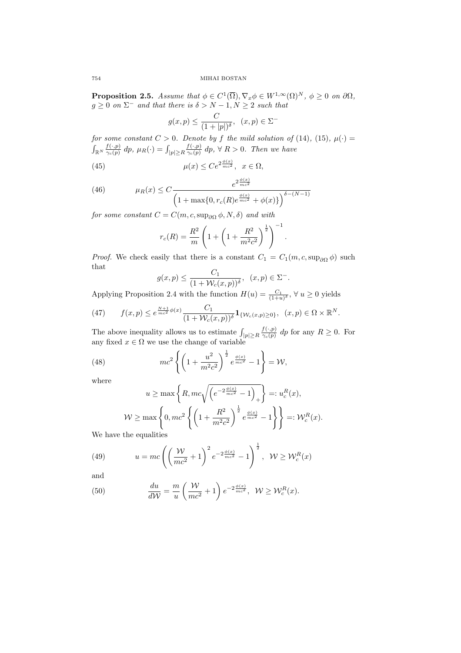**Proposition 2.5.** Assume that  $\phi \in C^1(\overline{\Omega}), \nabla_x \phi \in W^{1,\infty}(\Omega)^N$ ,  $\phi \geq 0$  on  $\partial \Omega$ ,  $g \geq 0$  on  $\Sigma^-$  and that there is  $\delta > N - 1, N \geq 2$  such that

$$
g(x,p) \le \frac{C}{(1+|p|)^{\delta}}, \ \ (x,p) \in \Sigma^-
$$

for some constant  $C > 0$ . Denote by f the mild solution of (14), (15),  $\mu(\cdot) =$  $\int_{\mathbb{R}^N} \frac{f(\cdot,p)}{\gamma_c(p)}$  $\frac{f(\cdot,p)}{\gamma_c(p)} dp$ ,  $\mu_R(\cdot) = \int_{|p| \ge R}$  $f(\cdot,p)$  $\frac{f(\cdot,p)}{\gamma_c(p)}\,dp, \,\forall\, R>0.$  Then we have

(45) 
$$
\mu(x) \le Ce^{2\frac{\phi(x)}{mc^2}}, \quad x \in \Omega,
$$

(46) 
$$
\mu_R(x) \leq C \frac{e^{2 \frac{\phi(x)}{mc^2}}}{\left(1 + \max\{0, r_c(R)e^{\frac{\phi(x)}{mc^2}} + \phi(x)\}\right)^{\delta - (N-1)}}
$$

for some constant  $C = C(m, c, \sup_{\partial \Omega} \phi, N, \delta)$  and with

$$
r_c(R) = \frac{R^2}{m} \left( 1 + \left( 1 + \frac{R^2}{m^2 c^2} \right)^{\frac{1}{2}} \right)^{-1}.
$$

*Proof.* We check easily that there is a constant  $C_1 = C_1(m, c, \sup_{\partial \Omega} \phi)$  such that

$$
g(x,p) \le \frac{C_1}{(1+\mathcal{W}_c(x,p))^\delta}, \quad (x,p) \in \Sigma^-.
$$

Applying Proposition 2.4 with the function  $H(u) = \frac{C_1}{(1+u)^{\delta}}$ ,  $\forall u \ge 0$  yields

(47) 
$$
f(x,p) \leq e^{\frac{N+1}{mc^2}\phi(x)} \frac{C_1}{(1+\mathcal{W}_c(x,p))^{\delta}} \mathbf{1}_{\{\mathcal{W}_c(x,p) \geq 0\}}, \quad (x,p) \in \Omega \times \mathbb{R}^N.
$$

The above inequality allows us to estimate  $\int_{|p| \ge R}$  $f(\cdot,p)$  $\frac{f(\cdot,p)}{\gamma_c(p)}$  dp for any  $R \geq 0$ . For any fixed  $x \in \Omega$  we use the change of variable

(48) 
$$
mc^{2}\left\{ \left(1+\frac{u^{2}}{m^{2}c^{2}}\right)^{\frac{1}{2}}e^{\frac{\phi(x)}{mc^{2}}}-1\right\} = W,
$$

where

$$
u \ge \max\left\{ R, mc\sqrt{\left(e^{-2\frac{\phi(x)}{mc^2}} - 1\right)_+} \right\} =: u_c^R(x),
$$
  

$$
W \ge \max\left\{ 0, mc^2 \left\{ \left(1 + \frac{R^2}{m^2 c^2}\right)^{\frac{1}{2}} e^{\frac{\phi(x)}{mc^2}} - 1 \right\} \right\} =: \mathcal{W}_c^R(x).
$$

We have the equalities

(49) 
$$
u = mc \left( \left( \frac{W}{mc^2} + 1 \right)^2 e^{-2 \frac{\phi(x)}{mc^2}} - 1 \right)^{\frac{1}{2}}, \quad W \ge W_c^R(x)
$$

and

(50) 
$$
\frac{du}{dW} = \frac{m}{u} \left( \frac{W}{mc^2} + 1 \right) e^{-2\frac{\phi(x)}{mc^2}}, \quad W \ge W_c^R(x).
$$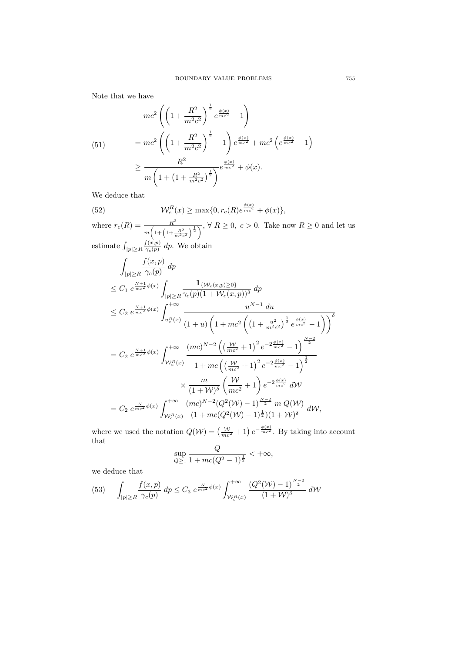Note that we have

(51)  
\n
$$
mc^{2}\left(\left(1+\frac{R^{2}}{m^{2}c^{2}}\right)^{\frac{1}{2}}e^{\frac{\phi(x)}{mc^{2}}}-1\right)
$$
\n
$$
=mc^{2}\left(\left(1+\frac{R^{2}}{m^{2}c^{2}}\right)^{\frac{1}{2}}-1\right)e^{\frac{\phi(x)}{mc^{2}}}+mc^{2}\left(e^{\frac{\phi(x)}{mc^{2}}}-1\right)
$$
\n
$$
\geq \frac{R^{2}}{m\left(1+\left(1+\frac{R^{2}}{m^{2}c^{2}}\right)^{\frac{1}{2}}\right)}e^{\frac{\phi(x)}{mc^{2}}}+\phi(x).
$$

We deduce that

(52) 
$$
\mathcal{W}_c^R(x) \ge \max\{0, r_c(R)e^{\frac{\phi(x)}{mc^2}} + \phi(x)\},
$$

where 
$$
r_c(R) = \frac{R^2}{m\left(1 + \left(1 + \frac{R^2}{m^2c^2}\right)^{\frac{1}{2}}\right)}, \forall R \ge 0, c > 0
$$
. Take now  $R \ge 0$  and let us estimate  $\int_{|p| \ge R} \frac{f(x,p)}{\gamma_c(p)} dp$ . We obtain  
\n
$$
\int_{|p| \ge R} \frac{f(x,p)}{\gamma_c(p)} dp
$$
\n
$$
\le C_1 e^{\frac{N+1}{mc^2}\phi(x)} \int_{|p| \ge R} \frac{1_{\{W_c(x,p) \ge 0\}}}{\gamma_c(p)(1 + W_c(x,p))^{\delta}} dp
$$
\n
$$
\le C_2 e^{\frac{N+1}{mc^2}\phi(x)} \int_{u_c^R(x)}^{+\infty} \frac{u^{N-1} du}{(1+u)\left(1 + mc^2\left(\left(1 + \frac{u^2}{m^2c^2}\right)^{\frac{1}{2}}e^{\frac{\phi(x)}{mc^2}} - 1\right)\right)^{\delta}}
$$
\n
$$
= C_2 e^{\frac{N+1}{mc^2}\phi(x)} \int_{\mathcal{W}_c^R(x)}^{+\infty} \frac{(mc)^{N-2}\left(\left(\frac{\mathcal{W}}{mc^2} + 1\right)^2 e^{-2\frac{\phi(x)}{mc^2}} - 1\right)^{\frac{N-2}{2}}}{1 + mc\left(\left(\frac{\mathcal{W}}{mc^2} + 1\right)^2 e^{-2\frac{\phi(x)}{mc^2}} - 1\right)^{\frac{1}{2}}}
$$
\n
$$
\times \frac{m}{(1 + \mathcal{W})^{\delta}} \left(\frac{\mathcal{W}}{mc^2} + 1\right) e^{-2\frac{\phi(x)}{mc^2}} d\mathcal{W}
$$
\n
$$
= C_2 e^{\frac{N}{mc^2}\phi(x)} \int_{\mathcal{W}_c^R(x)}^{+\infty} \frac{(mc)^{N-2}(Q^2(\mathcal{W}) - 1)^{\frac{N-2}{2}} m Q(\mathcal{W})}{(1 + mc(Q^2(\mathcal{W}) - 1)^{\frac{1}{2}})(1 + \mathcal{W})^{\delta}} d\mathcal{W},
$$

where we used the notation  $Q(\mathcal{W}) = \left(\frac{\mathcal{W}}{mc^2} + 1\right) e^{-\frac{\phi(x)}{mc^2}}$ . By taking into account that

$$
\sup_{Q \ge 1} \frac{Q}{1 + mc(Q^2 - 1)^{\frac{1}{2}}} < +\infty,
$$

we deduce that

(53) 
$$
\int_{|p| \ge R} \frac{f(x,p)}{\gamma_c(p)} dp \le C_3 e^{\frac{N}{mc^2} \phi(x)} \int_{\mathcal{W}_c^R(x)}^{+\infty} \frac{(Q^2(\mathcal{W}) - 1)^{\frac{N-2}{2}}}{(1 + \mathcal{W})^{\delta}} d\mathcal{W}
$$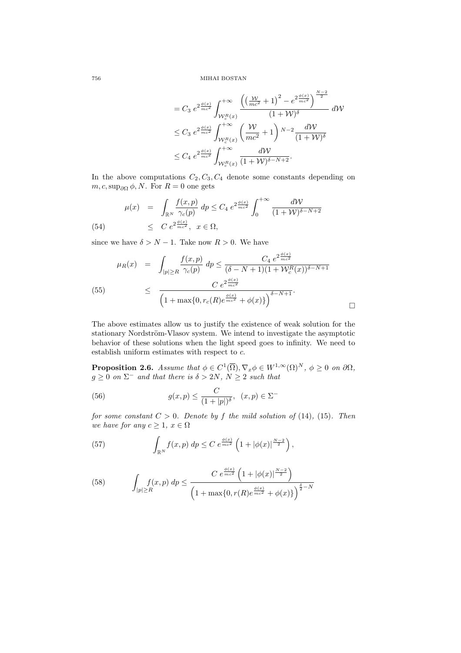$$
= C_3 e^{2\frac{\phi(x)}{mc^2}} \int_{\mathcal{W}_c^R(x)}^{+\infty} \frac{\left(\left(\frac{\mathcal{W}}{mc^2} + 1\right)^2 - e^{2\frac{\phi(x)}{mc^2}}\right)^{\frac{N-2}{2}}}{(1+\mathcal{W})^{\delta}} d\mathcal{W}
$$
  
\n
$$
\leq C_3 e^{2\frac{\phi(x)}{mc^2}} \int_{\mathcal{W}_c^R(x)}^{+\infty} \left(\frac{\mathcal{W}}{mc^2} + 1\right)^{N-2} \frac{d\mathcal{W}}{(1+\mathcal{W})^{\delta}}
$$
  
\n
$$
\leq C_4 e^{2\frac{\phi(x)}{mc^2}} \int_{\mathcal{W}_c^R(x)}^{+\infty} \frac{d\mathcal{W}}{(1+\mathcal{W})^{\delta-N+2}}.
$$

In the above computations  $C_2, C_3, C_4$  denote some constants depending on  $m, c, \sup_{\partial \Omega} \phi, N$ . For  $R = 0$  one gets

(54) 
$$
\mu(x) = \int_{\mathbb{R}^N} \frac{f(x, p)}{\gamma_c(p)} dp \le C_4 e^{2 \frac{\phi(x)}{mc^2}} \int_0^{+\infty} \frac{d\mathcal{W}}{(1 + \mathcal{W})^{\delta - N + 2}}
$$

$$
\le C e^{2 \frac{\phi(x)}{mc^2}}, \ x \in \Omega,
$$

since we have  $\delta > N - 1$ . Take now  $R > 0$ . We have

$$
\mu_R(x) = \int_{|p| \ge R} \frac{f(x, p)}{\gamma_c(p)} dp \le \frac{C_4 e^{2 \frac{\phi(x)}{mc^2}}}{(\delta - N + 1)(1 + \mathcal{W}_c^R(x))^{\delta - N + 1}}
$$
\n
$$
\le \frac{C e^{2 \frac{\phi(x)}{mc^2}}}{\left(1 + \max\{0, r_c(R)e^{\frac{\phi(x)}{mc^2}} + \phi(x)\}\right)^{\delta - N + 1}}.
$$

The above estimates allow us to justify the existence of weak solution for the stationary Nordström-Vlasov system. We intend to investigate the asymptotic behavior of these solutions when the light speed goes to infinity. We need to establish uniform estimates with respect to c.

**Proposition 2.6.** Assume that  $\phi \in C^1(\overline{\Omega}), \nabla_x \phi \in W^{1,\infty}(\Omega)^N$ ,  $\phi \geq 0$  on  $\partial \Omega$ ,  $g \geq 0$  on  $\Sigma^-$  and that there is  $\delta > 2N$ ,  $N \geq 2$  such that

(56) 
$$
g(x,p) \le \frac{C}{(1+|p|)^{\delta}}, \ (x,p) \in \Sigma^-
$$

for some constant  $C > 0$ . Denote by f the mild solution of (14), (15). Then we have for any  $c \geq 1, x \in \Omega$ 

(57) 
$$
\int_{\mathbb{R}^N} f(x, p) \, dp \leq C \, e^{\frac{\phi(x)}{mc^2}} \left( 1 + |\phi(x)|^{\frac{N-2}{2}} \right),
$$

(58) 
$$
\int_{|p| \ge R} f(x, p) dp \le \frac{C e^{\frac{\phi(x)}{mc^2} \left(1 + |\phi(x)|^{\frac{N-2}{2}}\right)}}{\left(1 + \max\{0, r(R)e^{\frac{\phi(x)}{mc^2}} + \phi(x)\}\right)^{\frac{\delta}{2} - N}}
$$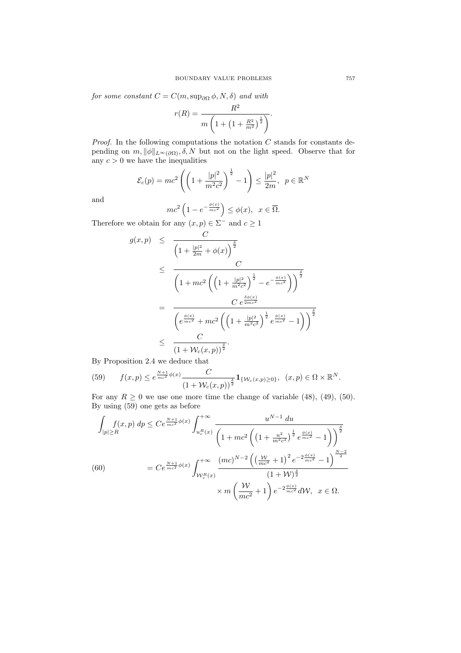for some constant  $C = C(m, \sup_{\partial \Omega} \phi, N, \delta)$  and with

$$
r(R) = \frac{R^2}{m\left(1 + \left(1 + \frac{R^2}{m^2}\right)^{\frac{1}{2}}\right)}.
$$

*Proof.* In the following computations the notation  $C$  stands for constants depending on  $m$ ,  $\|\phi\|_{L^{\infty}(\partial\Omega)}, \delta, N$  but not on the light speed. Observe that for any  $c > 0$  we have the inequalities

$$
\mathcal{E}_c(p) = mc^2 \left( \left( 1 + \frac{|p|^2}{m^2 c^2} \right)^{\frac{1}{2}} - 1 \right) \le \frac{|p|^2}{2m}, \ \ p \in \mathbb{R}^N
$$

and

$$
mc^{2}\left(1-e^{-\frac{\phi(x)}{mc^{2}}}\right) \leq \phi(x), \ \ x \in \overline{\Omega}.
$$

Therefore we obtain for any  $(x, p) \in \Sigma^-$  and  $c \ge 1$ 

$$
g(x, p) \leq \frac{C}{\left(1 + \frac{|p|^2}{2m} + \phi(x)\right)^{\frac{\delta}{2}}} \n\leq \frac{C}{\left(1 + mc^2 \left(\left(1 + \frac{|p|^2}{m^2 c^2}\right)^{\frac{1}{2}} - e^{-\frac{\phi(x)}{mc^2}}\right)\right)^{\frac{\delta}{2}}} \n= \frac{C e^{\frac{\delta \phi(x)}{2mc^2}}}{\left(e^{\frac{\phi(x)}{mc^2}} + mc^2 \left(\left(1 + \frac{|p|^2}{m^2 c^2}\right)^{\frac{1}{2}} e^{\frac{\phi(x)}{mc^2}} - 1\right)\right)^{\frac{\delta}{2}}} \n\leq \frac{C}{\left(1 + \mathcal{W}_c(x, p)\right)^{\frac{\delta}{2}}}.
$$

By Proposition 2.4 we deduce that

(59) 
$$
f(x,p) \leq e^{\frac{N+1}{mc^2}\phi(x)} \frac{C}{(1+\mathcal{W}_c(x,p))^{\frac{\delta}{2}}} \mathbf{1}_{\{\mathcal{W}_c(x,p) \geq 0\}}, \ (x,p) \in \Omega \times \mathbb{R}^N.
$$

For any  $R \geq 0$  we use one more time the change of variable (48), (49), (50). By using (59) one gets as before

$$
\int_{|p| \ge R} f(x, p) \, dp \le C e^{\frac{N+1}{mc^2} \phi(x)} \int_{u_c^R(x)}^{+\infty} \frac{u^{N-1} \, du}{\left(1 + mc^2 \left(\left(1 + \frac{u^2}{m^2 c^2}\right)^{\frac{1}{2}} e^{\frac{\phi(x)}{mc^2}} - 1\right)\right)^{\frac{\delta}{2}}} \\
= C e^{\frac{N+1}{mc^2} \phi(x)} \int_{\mathcal{W}_c^R(x)}^{+\infty} \frac{(mc)^{N-2} \left(\left(\frac{\mathcal{W}}{mc^2} + 1\right)^2 e^{-2\frac{\phi(x)}{mc^2}} - 1\right)^{\frac{N-2}{2}}}{(1 + \mathcal{W})^{\frac{\delta}{2}}} \\
\times m \left(\frac{\mathcal{W}}{mc^2} + 1\right) e^{-2\frac{\phi(x)}{mc^2}} d\mathcal{W}, \quad x \in \Omega.
$$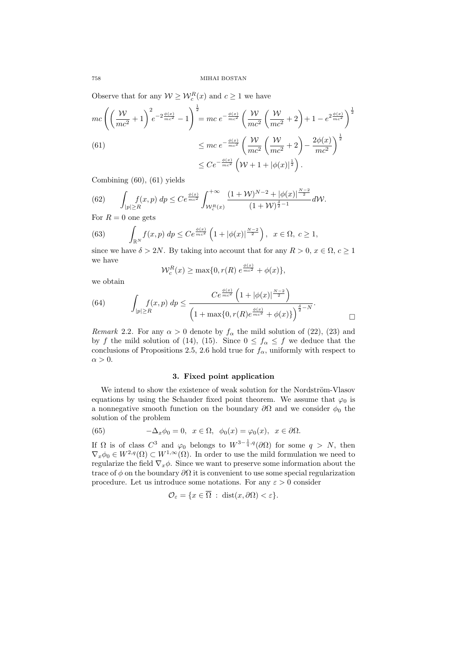Observe that for any  $W \geq W_c^R(x)$  and  $c \geq 1$  we have

$$
mc\left(\left(\frac{\mathcal{W}}{mc^2} + 1\right)^2 e^{-2\frac{\phi(x)}{mc^2}} - 1\right)^{\frac{1}{2}} = mc \ e^{-\frac{\phi(x)}{mc^2}} \left(\frac{\mathcal{W}}{mc^2} \left(\frac{\mathcal{W}}{mc^2} + 2\right) + 1 - e^{2\frac{\phi(x)}{mc^2}}\right)^{\frac{1}{2}}
$$
  
(61)  

$$
\leq mc \ e^{-\frac{\phi(x)}{mc^2}} \left(\frac{\mathcal{W}}{mc^2} \left(\frac{\mathcal{W}}{mc^2} + 2\right) - \frac{2\phi(x)}{mc^2}\right)^{\frac{1}{2}}
$$

$$
\leq Ce^{-\frac{\phi(x)}{mc^2}} \left(\mathcal{W} + 1 + |\phi(x)|^{\frac{1}{2}}\right).
$$

Combining (60), (61) yields

(62) 
$$
\int_{|p| \ge R} f(x, p) dp \le Ce^{\frac{\phi(x)}{mc^2}} \int_{\mathcal{W}_c^R(x)}^{+\infty} \frac{(1 + \mathcal{W})^{N-2} + |\phi(x)|^{\frac{N-2}{2}}}{(1 + \mathcal{W})^{\frac{\delta}{2}-1}} d\mathcal{W}.
$$

For  $R = 0$  one gets

(63) 
$$
\int_{\mathbb{R}^N} f(x, p) dp \leq Ce^{\frac{\phi(x)}{mc^2}} \left(1 + |\phi(x)|^{\frac{N-2}{2}}\right), \ x \in \Omega, \ c \geq 1,
$$

since we have  $\delta > 2N$ . By taking into account that for any  $R > 0, x \in \Omega, c \ge 1$ we have

$$
\mathcal{W}_c^R(x) \ge \max\{0, r(R) e^{\frac{\phi(x)}{mc^2}} + \phi(x)\},\
$$

we obtain

(64) 
$$
\int_{|p| \ge R} f(x, p) dp \le \frac{Ce^{\frac{\phi(x)}{mc^2}} \left(1 + |\phi(x)|^{\frac{N-2}{2}}\right)}{\left(1 + \max\{0, r(R)e^{\frac{\phi(x)}{mc^2}} + \phi(x)\}\right)^{\frac{\delta}{2} - N}}.
$$

´

Remark 2.2. For any  $\alpha > 0$  denote by  $f_{\alpha}$  the mild solution of (22), (23) and by f the mild solution of (14), (15). Since  $0 \le f_{\alpha} \le f$  we deduce that the conclusions of Propositions 2.5, 2.6 hold true for  $f_{\alpha}$ , uniformly with respect to  $\alpha > 0$ .

### 3. Fixed point application

We intend to show the existence of weak solution for the Nordström-Vlasov equations by using the Schauder fixed point theorem. We assume that  $\varphi_0$  is a nonnegative smooth function on the boundary  $\partial\Omega$  and we consider  $\phi_0$  the solution of the problem

(65) 
$$
-\Delta_x \phi_0 = 0, \quad x \in \Omega, \quad \phi_0(x) = \varphi_0(x), \quad x \in \partial \Omega.
$$

If  $\Omega$  is of class  $C^3$  and  $\varphi_0$  belongs to  $W^{3-\frac{1}{q},q}(\partial\Omega)$  for some  $q > N$ , then  $\nabla_x \phi_0 \in W^{2,q}(\Omega) \subset W^{1,\infty}(\Omega)$ . In order to use the mild formulation we need to regularize the field  $\nabla_x \phi$ . Since we want to preserve some information about the trace of  $\phi$  on the boundary  $\partial\Omega$  it is convenient to use some special regularization procedure. Let us introduce some notations. For any  $\varepsilon > 0$  consider

$$
\mathcal{O}_{\varepsilon} = \{ x \in \overline{\Omega} : \operatorname{dist}(x, \partial \Omega) < \varepsilon \}.
$$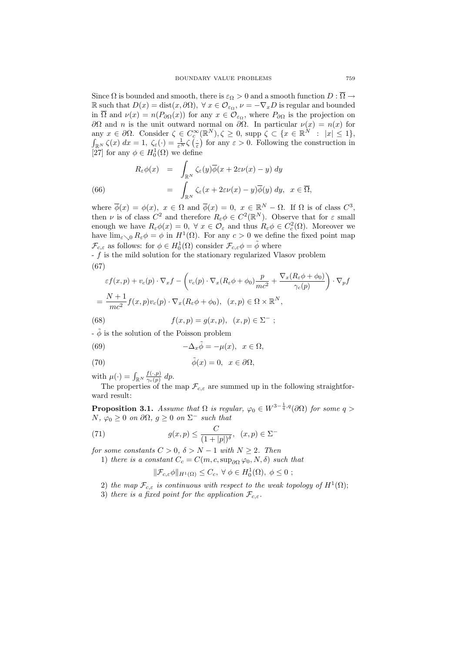Since  $\Omega$  is bounded and smooth, there is  $\varepsilon_{\Omega} > 0$  and a smooth function  $D : \overline{\Omega} \to$ R such that  $D(x) = \text{dist}(x, \partial \Omega)$ ,  $\forall x \in \mathcal{O}_{\varepsilon_{\Omega}}, \nu = -\nabla_x D$  is regular and bounded in  $\overline{\Omega}$  and  $\nu(x) = n(P_{\partial\Omega}(x))$  for any  $x \in \mathcal{O}_{\varepsilon_{\Omega}}$ , where  $P_{\partial\Omega}$  is the projection on  $\partial\Omega$  and n is the unit outward normal on  $\partial\Omega$ . In particular  $\nu(x) = n(x)$  for any  $x \in \partial\Omega$ . Consider  $\zeta \in C_c^{\infty}(\mathbb{R}^N)$ ,  $\zeta \ge 0$ , supp  $\zeta \subset \{x \in \mathbb{R}^N : |x| \le 1\}$ ,<br> $\int_{\mathbb{R}^N} \zeta(x) dx = 1$ ,  $\zeta_{\varepsilon}(\cdot) = \frac{1}{\varepsilon^N} \zeta(\frac{\cdot}{\varepsilon})$  for any  $\varepsilon > 0$ . Following the construction in  $\left(\frac{c}{\varepsilon}\right)$  $\overline{\left( \cdot \right)}$ for any  $\varepsilon > 0$ . Following the construction in

[27] for any 
$$
\phi \in H_0^1(\Omega)
$$
 we define  
\n
$$
R_{\varepsilon}\phi(x) = \int_{\mathbb{R}^N} \zeta_{\varepsilon}(y)\overline{\phi}(x + 2\varepsilon\nu(x) - y) dy
$$
\n(66) 
$$
= \int_{\mathbb{R}^N} \zeta_{\varepsilon}(x + 2\varepsilon\nu(x) - y)\overline{\phi}(y) dy, \quad x \in \overline{\Omega},
$$

where  $\overline{\phi}(x) = \phi(x)$ ,  $x \in \Omega$  and  $\overline{\phi}(x) = 0$ ,  $x \in \mathbb{R}^N - \Omega$ . If  $\Omega$  is of class  $C^3$ , then  $\nu$  is of class  $C^2$  and therefore  $R_{\varepsilon} \phi \in C^2(\mathbb{R}^N)$ . Observe that for  $\varepsilon$  small enough we have  $R_{\varepsilon}\phi(x) = 0$ ,  $\forall x \in \mathcal{O}_{\varepsilon}$  and thus  $R_{\varepsilon}\phi \in C_{c}^{2}(\Omega)$ . Moreover we have  $\lim_{\varepsilon \searrow 0} R_{\varepsilon} \phi = \phi$  in  $H^1(\Omega)$ . For any  $c > 0$  we define the fixed point map  $\mathcal{F}_{c,\varepsilon}$  as follows: for  $\phi \in H_0^1(\Omega)$  consider  $\mathcal{F}_{c,\varepsilon} \phi = \tilde{\phi}$  where

 $-f$  is the mild solution for the stationary regularized Vlasov problem  $\overline{a}$ (67)

$$
\varepsilon f(x, p) + v_c(p) \cdot \nabla_x f - \left( v_c(p) \cdot \nabla_x (R_\varepsilon \phi + \phi_0) \frac{p}{mc^2} + \frac{\nabla_x (R_\varepsilon \phi + \phi_0)}{\gamma_c(p)} \right) \cdot \nabla_p f
$$
  
=  $\frac{N+1}{mc^2} f(x, p) v_c(p) \cdot \nabla_x (R_\varepsilon \phi + \phi_0), \quad (x, p) \in \Omega \times \mathbb{R}^N,$   
(68)  $f(x, p) = g(x, p), \quad (x, p) \in \Sigma^- ;$ 

 $-\phi$  is the solution of the Poisson problem

(69) 
$$
-\Delta_x \tilde{\phi} = -\mu(x), \quad x \in \Omega,
$$

(70) 
$$
\tilde{\phi}(x) = 0, \quad x \in \partial \Omega,
$$

with  $\mu(\cdot) = \int_{\mathbb{R}^N} \frac{f(\cdot, p)}{\gamma_c(p)}$  $\frac{f(\cdot,p)}{\gamma_c(p)}$  dp.

The properties of the map  $\mathcal{F}_{c,\varepsilon}$  are summed up in the following straightforward result:

**Proposition 3.1.** Assume that  $\Omega$  is regular,  $\varphi_0 \in W^{3-\frac{1}{q},q}(\partial \Omega)$  for some  $q >$  $N, \varphi_0 \geq 0$  on  $\partial \Omega, g \geq 0$  on  $\Sigma^-$  such that

(71) 
$$
g(x,p) \leq \frac{C}{(1+|p|)^{\delta}}, \quad (x,p) \in \Sigma^-
$$

for some constants  $C > 0$ ,  $\delta > N - 1$  with  $N \geq 2$ . Then

1) there is a constant  $C_c = C(m, c, \sup_{\partial \Omega} \varphi_0, N, \delta)$  such that

$$
\|\mathcal{F}_{c,\varepsilon}\phi\|_{H^1(\Omega)} \leq C_c, \ \forall \ \phi \in H_0^1(\Omega), \ \phi \leq 0 \ ;
$$

- 2) the map  $\mathcal{F}_{c,\varepsilon}$  is continuous with respect to the weak topology of  $H^1(\Omega)$ ;
- 3) there is a fixed point for the application  $\mathcal{F}_{c,\varepsilon}$ .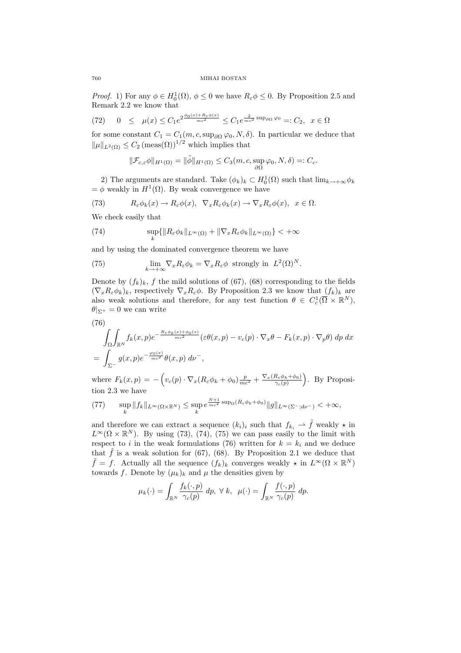*Proof.* 1) For any  $\phi \in H_0^1(\Omega)$ ,  $\phi \leq 0$  we have  $R_{\varepsilon} \phi \leq 0$ . By Proposition 2.5 and Remark 2.2 we know that

$$
(72) \quad 0 \le \mu(x) \le C_1 e^{2 \frac{\phi_0(x) + R_{\varepsilon} \phi(x)}{mc^2}} \le C_1 e^{\frac{2}{mc^2} \sup_{\partial \Omega} \varphi_0} =: C_2, \quad x \in \Omega
$$

for some constant  $C_1 = C_1(m, c, \sup_{\partial \Omega} \varphi_0, N, \delta)$ . In particular we deduce that  $\|\mu\|_{L^2(\Omega)} \leq C_2 \left(\text{meas}(\Omega)\right)^{1/2}$  which implies that

$$
\|\mathcal{F}_{c,\varepsilon}\phi\|_{H^1(\Omega)} = \|\tilde{\phi}\|_{H^1(\Omega)} \le C_3(m,c,\sup_{\partial\Omega}\varphi_0,N,\delta) =: C_c.
$$

2) The arguments are standard. Take  $(\phi_k)_k \subset H_0^1(\Omega)$  such that  $\lim_{k \to +\infty} \phi_k$  $= \phi$  weakly in  $H^1(\Omega)$ . By weak convergence we have

(73) 
$$
R_{\varepsilon}\phi_k(x) \to R_{\varepsilon}\phi(x), \ \nabla_x R_{\varepsilon}\phi_k(x) \to \nabla_x R_{\varepsilon}\phi(x), \ x \in \Omega.
$$

We check easily that

(74) 
$$
\sup_{k} \{ ||R_{\varepsilon} \phi_k||_{L^{\infty}(\Omega)} + ||\nabla_x R_{\varepsilon} \phi_k||_{L^{\infty}(\Omega)} \} < +\infty
$$

and by using the dominated convergence theorem we have

(75) 
$$
\lim_{k \to +\infty} \nabla_x R_{\varepsilon} \phi_k = \nabla_x R_{\varepsilon} \phi \text{ strongly in } L^2(\Omega)^N.
$$

Denote by  $(f_k)_k$ , f the mild solutions of (67), (68) corresponding to the fields  $(\nabla_x R_\varepsilon \phi_k)_k$ , respectively  $\nabla_x R_\varepsilon \phi$ . By Proposition 2.3 we know that  $(f_k)_k$  are also weak solutions and therefore, for any test function  $\theta \in C_c^1(\overline{\Omega} \times \mathbb{R}^N)$ ,  $\theta|_{\Sigma^+} = 0$  we can write

(76)  
\n
$$
\int_{\Omega} \int_{\mathbb{R}^N} f_k(x, p) e^{-\frac{R_{\varepsilon} \phi_k(x) + \phi_0(x)}{mc^2}} (\varepsilon \theta(x, p) - v_c(p) \cdot \nabla_x \theta - F_k(x, p) \cdot \nabla_p \theta) dp dx
$$
\n
$$
= \int_{\Sigma^-} g(x, p) e^{-\frac{\varphi_0(x)}{mc^2}} \theta(x, p) d\nu^-,
$$

where  $F_k(x,p) =$  $v_c(p) \cdot \nabla_x (R_\varepsilon \phi_k + \phi_0) \frac{p}{mc^2} + \frac{\nabla_x (R_\varepsilon \phi_k + \phi_0)}{\gamma_c(p)}$  $\gamma_{c}(p)$ . By Proposition 2.3 we have

$$
(77) \quad \sup_{k} \|f_k\|_{L^{\infty}(\Omega\times\mathbb{R}^N)} \leq \sup_{k} e^{\frac{N+1}{mc^2}\sup_{\Omega}(R_{\varepsilon}\phi_k+\phi_0)} \|g\|_{L^{\infty}(\Sigma^{-};d\nu^{-})} < +\infty,
$$

and therefore we can extract a sequence  $(k_i)_i$  such that  $f_{k_i} \rightharpoonup \tilde{f}$  weakly  $\star$  in  $L^{\infty}(\Omega \times \mathbb{R}^{N})$ . By using (73), (74), (75) we can pass easily to the limit with respect to i in the weak formulations (76) written for  $k = k_i$  and we deduce that  $\tilde{f}$  is a weak solution for (67), (68). By Proposition 2.1 we deduce that  $\tilde{f} = f$ . Actually all the sequence  $(f_k)_k$  converges weakly  $\star$  in  $L^{\infty}(\Omega \times \mathbb{R}^N)$ towards f. Denote by  $(\mu_k)_k$  and  $\mu$  the densities given by

$$
\mu_k(\cdot) = \int_{\mathbb{R}^N} \frac{f_k(\cdot, p)}{\gamma_c(p)} dp, \ \forall \ k, \ \mu(\cdot) = \int_{\mathbb{R}^N} \frac{f(\cdot, p)}{\gamma_c(p)} dp.
$$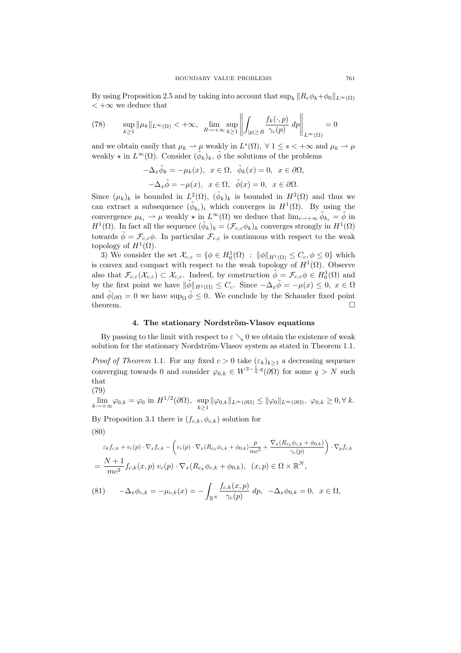By using Proposition 2.5 and by taking into account that  $\sup_k ||R_{\varepsilon}\phi_k+\phi_0||_{L^{\infty}(\Omega)}$  $< +\infty$  we deduce that °

(78) 
$$
\sup_{k\geq 1} \|\mu_k\|_{L^{\infty}(\Omega)} < +\infty, \quad \lim_{R\to+\infty} \sup_{k\geq 1} \left\| \int_{|p|\geq R} \frac{f_k(\cdot,p)}{\gamma_c(p)} dp \right\|_{L^{\infty}(\Omega)} = 0
$$

and we obtain easily that  $\mu_k \to \mu$  weakly in  $L^s(\Omega)$ ,  $\forall$  1  $\leq$  s  $\lt$  + $\infty$  and  $\mu_k \to \mu$ weakly  $\star$  in  $L^{\infty}(\Omega)$ . Consider  $({\phi_k})_k$ ,  $\phi$  the solutions of the problems

$$
-\Delta_x \tilde{\phi}_k = -\mu_k(x), \quad x \in \Omega, \quad \tilde{\phi}_k(x) = 0, \quad x \in \partial\Omega,
$$
  

$$
-\Delta_x \tilde{\phi} = -\mu(x), \quad x \in \Omega, \quad \tilde{\phi}(x) = 0, \quad x \in \partial\Omega.
$$

Since  $(\mu_k)_k$  is bounded in  $L^2(\Omega)$ ,  $(\tilde{\phi}_k)_k$  is bounded in  $H^2(\Omega)$  and thus we can extract a subsequence  $(\tilde{\phi}_{k_i})_i$  which converges in  $H^1(\Omega)$ . By using the convergence  $\mu_{k_i} \rightharpoonup \mu$  weakly  $\star$  in  $L^{\infty}(\Omega)$  we deduce that  $\lim_{i \to +\infty} \tilde{\phi}_{k_i} = \tilde{\phi}$  in  $H^1(\Omega)$ . In fact all the sequence  $({\tilde{\phi}_k})_k = (\mathcal{F}_{c,\varepsilon} \phi_k)_k$  converges strongly in  $H^1(\Omega)$ towards  $\tilde{\phi} = \mathcal{F}_{c,\varepsilon} \phi$ . In particular  $\mathcal{F}_{c,\varepsilon}$  is continuous with respect to the weak topology of  $H^1(\Omega)$ .

3) We consider the set  $\mathcal{X}_{c,\varepsilon} = \{ \phi \in H_0^1(\Omega) : ||\phi||_{H^1(\Omega)} \leq C_c, \phi \leq 0 \}$  which is convex and compact with respect to the weak topology of  $H^1(\Omega)$ . Observe also that  $\mathcal{F}_{c,\varepsilon}(\mathcal{X}_{c,\varepsilon}) \subset \mathcal{X}_{c,\varepsilon}$ . Indeed, by construction  $\tilde{\phi} = \mathcal{F}_{c,\varepsilon} \phi \in H_0^1(\Omega)$  and by the first point we have  $\|\tilde{\phi}\|_{H^1(\Omega)} \leq C_c$ . Since  $-\Delta_x \tilde{\phi} = -\mu(x) \leq 0, x \in \Omega$ and  $\tilde{\phi}|_{\partial\Omega} = 0$  we have sup<sub> $\Omega$ </sub>  $\tilde{\phi} \leq 0$ . We conclude by the Schauder fixed point theorem.  $\Box$ 

## 4. The stationary Nordström-Vlasov equations

By passing to the limit with respect to  $\varepsilon \setminus 0$  we obtain the existence of weak solution for the stationary Nordström-Vlasov system as stated in Theorem 1.1.

*Proof of Theorem* 1.1. For any fixed  $c > 0$  take  $(\varepsilon_k)_{k \geq 1}$  a decreasing sequence converging towards 0 and consider  $\varphi_{0,k} \in W^{3-\frac{1}{q},q}(\partial\Omega)$  for some  $q > N$  such that (79)

$$
\lim_{k \to +\infty} \varphi_{0,k} = \varphi_0 \text{ in } H^{1/2}(\partial \Omega), \sup_{k \ge 1} \|\varphi_{0,k}\|_{L^{\infty}(\partial \Omega)} \le \|\varphi_0\|_{L^{\infty}(\partial \Omega)}, \varphi_{0,k} \ge 0, \forall k.
$$

By Proposition 3.1 there is  $(f_{c,k}, \phi_{c,k})$  solution for

$$
(80)
$$

$$
\varepsilon_{k} f_{c,k} + v_{c}(p) \cdot \nabla_{x} f_{c,k} - \left( v_{c}(p) \cdot \nabla_{x} (R_{\varepsilon_{k}} \phi_{c,k} + \phi_{0,k}) \frac{p}{mc^{2}} + \frac{\nabla_{x} (R_{\varepsilon_{k}} \phi_{c,k} + \phi_{0,k})}{\gamma_{c}(p)} \right) \cdot \nabla_{p} f_{c,k}
$$
\n
$$
= \frac{N+1}{mc^{2}} f_{c,k}(x, p) v_{c}(p) \cdot \nabla_{x} (R_{\varepsilon_{k}} \phi_{c,k} + \phi_{0,k}), \quad (x, p) \in \Omega \times \mathbb{R}^{N},
$$
\n
$$
(81) \qquad -\Delta_{x} \phi_{c,k} = -\mu_{c,k}(x) = -\int_{\mathbb{R}^{N}} \frac{f_{c,k}(x, p)}{\gamma_{c}(p)} dp, \quad -\Delta_{x} \phi_{0,k} = 0, \quad x \in \Omega,
$$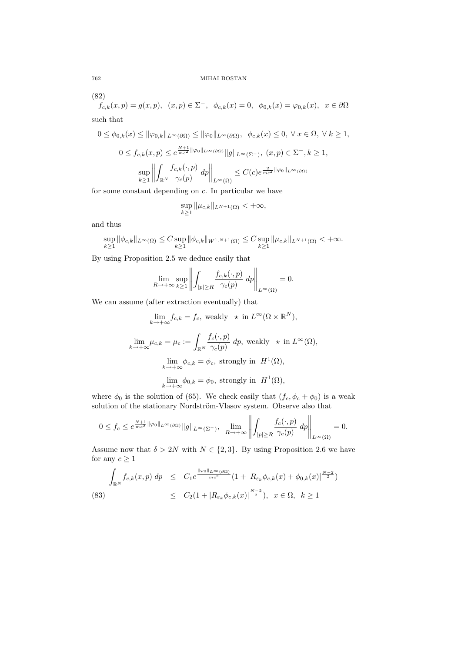(82)

$$
f_{c,k}(x,p) = g(x,p), \ (x,p) \in \Sigma^-, \ \phi_{c,k}(x) = 0, \ \phi_{0,k}(x) = \varphi_{0,k}(x), \ x \in \partial\Omega
$$
 such that

$$
0 \leq \phi_{0,k}(x) \leq \|\varphi_{0,k}\|_{L^{\infty}(\partial\Omega)} \leq \|\varphi_0\|_{L^{\infty}(\partial\Omega)}, \quad \phi_{c,k}(x) \leq 0, \ \forall \ x \in \Omega, \ \forall \ k \geq 1,
$$
  

$$
0 \leq f_{c,k}(x,p) \leq e^{\frac{N+1}{mc^2}\|\varphi_0\|_{L^{\infty}(\partial\Omega)}}\|g\|_{L^{\infty}(\Sigma^{-})}, \ (x,p) \in \Sigma^{-}, k \geq 1,
$$
  

$$
\sup_{k \geq 1} \left\| \int_{\mathbb{R}^N} \frac{f_{c,k}(\cdot,p)}{\gamma_c(p)} dp \right\|_{L^{\infty}(\Omega)} \leq C(c)e^{\frac{2}{mc^2}\|\varphi_0\|_{L^{\infty}(\partial\Omega)}}
$$

for some constant depending on c. In particular we have

$$
\sup_{k\geq 1} \|\mu_{c,k}\|_{L^{N+1}(\Omega)} < +\infty,
$$

and thus

$$
\sup_{k\geq 1} \|\phi_{c,k}\|_{L^{\infty}(\Omega)} \leq C \sup_{k\geq 1} \|\phi_{c,k}\|_{W^{1,N+1}(\Omega)} \leq C \sup_{k\geq 1} \|\mu_{c,k}\|_{L^{N+1}(\Omega)} < +\infty.
$$

By using Proposition 2.5 we deduce easily that

$$
\lim_{R \to +\infty} \sup_{k \ge 1} \left\| \int_{|p| \ge R} \frac{f_{c,k}(\cdot, p)}{\gamma_c(p)} dp \right\|_{L^{\infty}(\Omega)} = 0.
$$

We can assume (after extraction eventually) that

$$
\lim_{k \to +\infty} f_{c,k} = f_c, \text{ weakly } \star \text{ in } L^{\infty}(\Omega \times \mathbb{R}^N),
$$

$$
\lim_{k \to +\infty} \mu_{c,k} = \mu_c := \int_{\mathbb{R}^N} \frac{f_c(\cdot, p)}{\gamma_c(p)} dp, \text{ weakly } \star \text{ in } L^{\infty}(\Omega),
$$

$$
\lim_{k \to +\infty} \phi_{c,k} = \phi_c, \text{ strongly in } H^1(\Omega),
$$

$$
\lim_{k \to +\infty} \phi_{0,k} = \phi_0, \text{ strongly in } H^1(\Omega),
$$

where  $\phi_0$  is the solution of (65). We check easily that  $(f_c, \phi_c + \phi_0)$  is a weak solution of the stationary Nordström-Vlasov system. Observe also that

$$
0 \le f_c \le e^{\frac{N+1}{mc^2} \|\varphi_0\|_{L^{\infty}(\partial\Omega)}} \|g\|_{L^{\infty}(\Sigma^-)}, \quad \lim_{R \to +\infty} \left\| \int_{|p| \ge R} \frac{f_c(\cdot, p)}{\gamma_c(p)} \, dp \right\|_{L^{\infty}(\Omega)} = 0.
$$

Assume now that  $\delta > 2N$  with  $N \in \{2,3\}$ . By using Proposition 2.6 we have for any  $c \geq 1$ 

$$
\int_{\mathbb{R}^N} f_{c,k}(x, p) dp \leq C_1 e^{\frac{\|\varphi_0\|_{L^\infty(\partial \Omega)}}{mc^2} (1 + |R_{\varepsilon_k} \phi_{c,k}(x) + \phi_{0,k}(x)|^{\frac{N-2}{2}})} \leq C_2 (1 + |R_{\varepsilon_k} \phi_{c,k}(x)|^{\frac{N-2}{2}}), \quad x \in \Omega, \quad k \geq 1
$$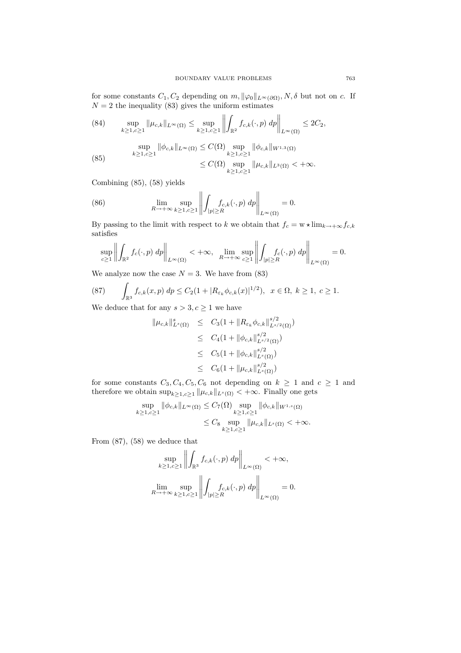for some constants  $C_1, C_2$  depending on  $m, ||\varphi_0||_{L^{\infty}(\partial\Omega)}, N, \delta$  but not on c. If  $N = 2$  the inequality (83) gives the uniform estimates

(84) 
$$
\sup_{k \ge 1, c \ge 1} \|\mu_{c,k}\|_{L^{\infty}(\Omega)} \le \sup_{k \ge 1, c \ge 1} \left\| \int_{\mathbb{R}^2} f_{c,k}(\cdot, p) dp \right\|_{L^{\infty}(\Omega)} \le 2C_2,
$$

$$
\sup_{k \ge 1, c \ge 1} \|\phi_{c,k}\|_{L^{\infty}(\Omega)} \le C(\Omega) \sup_{k \ge 1, c \ge 1} \|\phi_{c,k}\|_{W^{1,3}(\Omega)}
$$
  
 
$$
\le C(\Omega) \sup_{k \ge 1, c \ge 1} \|\mu_{c,k}\|_{L^{3}(\Omega)} < +\infty.
$$

Combining (85), (58) yields

(86) 
$$
\lim_{R \to +\infty} \sup_{k \ge 1, c \ge 1} \left\| \int_{|p| \ge R} f_{c,k}(\cdot, p) dp \right\|_{L^{\infty}(\Omega)} = 0.
$$

By passing to the limit with respect to k we obtain that  $f_c = w \star \lim_{k \to +\infty} f_{c,k}$ satisfies

$$
\sup_{c\geq 1}\left\|\int_{\mathbb{R}^2} f_c(\cdot,p) dp\right\|_{L^{\infty}(\Omega)} < +\infty, \quad \lim_{R\to+\infty} \sup_{c\geq 1}\left\|\int_{|p|\geq R} f_c(\cdot,p) dp\right\|_{L^{\infty}(\Omega)} = 0.
$$

We analyze now the case  $N = 3$ . We have from (83)

(87) 
$$
\int_{\mathbb{R}^3} f_{c,k}(x, p) dp \leq C_2 (1 + |R_{\varepsilon_k} \phi_{c,k}(x)|^{1/2}), \quad x \in \Omega, \ k \geq 1, \ c \geq 1.
$$

We deduce that for any  $s > 3, c \ge 1$  we have

$$
\|\mu_{c,k}\|_{L^s(\Omega)}^s \leq C_3 (1 + \|R_{\varepsilon_k} \phi_{c,k}\|_{L^{s/2}(\Omega)}^{s/2})
$$
  
\n
$$
\leq C_4 (1 + \|\phi_{c,k}\|_{L^{s/2}(\Omega)}^{s/2})
$$
  
\n
$$
\leq C_5 (1 + \|\phi_{c,k}\|_{L^s(\Omega)}^{s/2})
$$
  
\n
$$
\leq C_6 (1 + \|\mu_{c,k}\|_{L^s(\Omega)}^{s/2})
$$

for some constants  $C_3, C_4, C_5, C_6$  not depending on  $k \geq 1$  and  $c \geq 1$  and therefore we obtain  $\sup_{k\ge 1,c\ge 1}\|\mu_{c,k}\|_{L^s(\Omega)}<+\infty.$  Finally one gets

$$
\sup_{k \ge 1, c \ge 1} \|\phi_{c,k}\|_{L^{\infty}(\Omega)} \le C_7(\Omega) \sup_{k \ge 1, c \ge 1} \|\phi_{c,k}\|_{W^{1,s}(\Omega)}
$$
  

$$
\le C_8 \sup_{k \ge 1, c \ge 1} \|\mu_{c,k}\|_{L^s(\Omega)} < +\infty.
$$

From (87), (58) we deduce that

$$
\sup_{k\geq 1, c\geq 1} \left\| \int_{\mathbb{R}^3} f_{c,k}(\cdot, p) dp \right\|_{L^{\infty}(\Omega)} < +\infty,
$$
  

$$
\lim_{R\to +\infty} \sup_{k\geq 1, c\geq 1} \left\| \int_{|p|\geq R} f_{c,k}(\cdot, p) dp \right\|_{L^{\infty}(\Omega)} = 0.
$$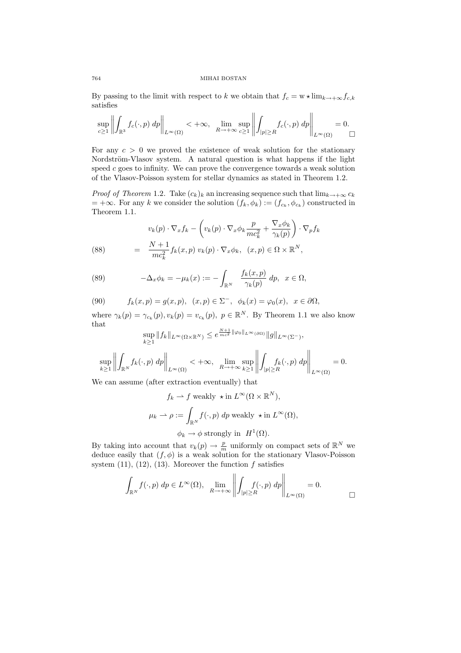#### 764 MIHAI BOSTAN

By passing to the limit with respect to k we obtain that  $f_c = \mathbf{w} \star \lim_{k \to +\infty} f_{c,k}$ satisfies ° °

$$
\sup_{c\geq 1}\left\|\int_{\mathbb{R}^3} f_c(\cdot, p) dp \right\|_{L^\infty(\Omega)} <+\infty, \quad \lim_{R\to +\infty} \sup_{c\geq 1}\left\|\int_{|p|\geq R} f_c(\cdot, p) dp \right\|_{L^\infty(\Omega)}=0.
$$

For any  $c > 0$  we proved the existence of weak solution for the stationary Nordström-Vlasov system. A natural question is what happens if the light speed  $c$  goes to infinity. We can prove the convergence towards a weak solution of the Vlasov-Poisson system for stellar dynamics as stated in Theorem 1.2.

*Proof of Theorem* 1.2. Take  $(c_k)_k$  an increasing sequence such that  $\lim_{k\to+\infty} c_k$  $= +\infty$ . For any k we consider the solution  $(f_k, \phi_k) := (f_{c_k}, \phi_{c_k})$  constructed in Theorem 1.1.  $\overline{a}$  $\mathbf{r}$ 

(88) 
$$
v_k(p) \cdot \nabla_x f_k - \left(v_k(p) \cdot \nabla_x \phi_k \frac{p}{mc_k^2} + \frac{\nabla_x \phi_k}{\gamma_k(p)}\right) \cdot \nabla_p f_k
$$

$$
= \frac{N+1}{mc_k^2} f_k(x,p) v_k(p) \cdot \nabla_x \phi_k, \ (x,p) \in \Omega \times \mathbb{R}^N,
$$

(89) 
$$
-\Delta_x \phi_k = -\mu_k(x) := -\int_{\mathbb{R}^N} \frac{f_k(x, p)}{\gamma_k(p)} dp, \quad x \in \Omega,
$$

(90) 
$$
f_k(x,p) = g(x,p), \ (x,p) \in \Sigma^-, \ \phi_k(x) = \varphi_0(x), \ x \in \partial\Omega,
$$

where  $\gamma_k(p) = \gamma_{c_k}(p), v_k(p) = v_{c_k}(p), p \in \mathbb{R}^N$ . By Theorem 1.1 we also know that

$$
\sup_{k\geq 1} \|f_k\|_{L^{\infty}(\Omega\times\mathbb{R}^N)} \leq e^{\frac{N+1}{mc^2} \|\varphi_0\|_{L^{\infty}(\partial\Omega)}} \|g\|_{L^{\infty}(\Sigma^-)},
$$
  

$$
\sup_{k\geq 1} \left\| \int_{\mathbb{R}^N} f_k(\cdot, p) dp \right\|_{L^{\infty}(\Omega)} < +\infty, \quad \lim_{R\to+\infty} \sup_{k\geq 1} \left\| \int_{|p|\geq R} f_k(\cdot, p) dp \right\|_{L^{\infty}(\Omega)} = 0.
$$

We can assume (after extraction eventually) that

$$
f_k \rightharpoonup f \text{ weakly } \star \text{ in } L^{\infty}(\Omega \times \mathbb{R}^N),
$$

$$
\mu_k \rightharpoonup \rho := \int_{\mathbb{R}^N} f(\cdot, p) \, dp \text{ weakly } \star \text{ in } L^{\infty}(\Omega),
$$

$$
\phi_k \rightharpoonup \phi \text{ strongly in } H^1(\Omega).
$$

By taking into account that  $v_k(p) \to \frac{p}{m}$  uniformly on compact sets of  $\mathbb{R}^N$  we deduce easily that  $(f, \phi)$  is a weak solution for the stationary Vlasov-Poisson system  $(11)$ ,  $(12)$ ,  $(13)$ . Moreover the function f satisfies ° °

$$
\int_{\mathbb{R}^N} f(\cdot, p) \, dp \in L^{\infty}(\Omega), \quad \lim_{R \to +\infty} \left\| \int_{|p| \ge R} f(\cdot, p) \, dp \right\|_{L^{\infty}(\Omega)} = 0.
$$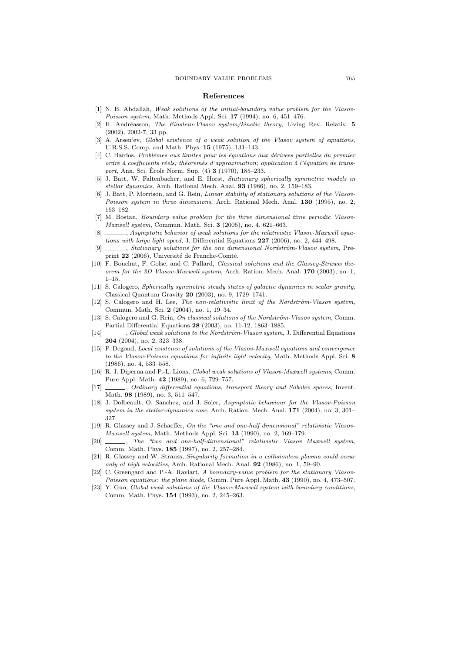#### BOUNDARY VALUE PROBLEMS 765

### References

- [1] N. B. Abdallah, Weak solutions of the initial-boundary value problem for the Vlasov-Poisson system, Math. Methods Appl. Sci. 17 (1994), no. 6, 451-476.
- [2] H. Andréasson, The Einstein-Vlasov system/kinetic theory, Living Rev. Relativ. 5 (2002), 2002-7, 33 pp.
- [3] A. Arsen'ev, Global existence of a weak solution of the Vlasov system of equations, U.R.S.S. Comp. and Math. Phys. 15 (1975), 131–143.
- [4] C. Bardos, Problèmes aux limites pour les équations aux dérivees partielles du premier ordre à coefficients réels; théoremès d'approximation; application à l'équation de transport, Ann. Sci. Ecole Norm. Sup.  $(4)$  3  $(1970)$ , 185–233.
- [5] J. Batt, W. Faltenbacher, and E. Horst, Stationary spherically symmetric models in stellar dynamics, Arch. Rational Mech. Anal. 93 (1986), no. 2, 159–183.
- [6] J. Batt, P. Morrison, and G. Rein, Linear stability of stationary solutions of the Vlasov-Poisson system in three dimensions, Arch. Rational Mech. Anal. 130 (1995), no. 2, 163–182.
- [7] M. Bostan, Boundary value problem for the three dimensional time periodic Vlasov-Maxwell system, Commun. Math. Sci. 3 (2005), no. 4, 621–663.
- [8]  $\Box$ , Asymptotic behavior of weak solutions for the relativistic Vlasov-Maxwell equations with large light speed, J. Differential Equations 227 (2006), no. 2, 444–498.
- [9] , Stationary solutions for the one dimensional Nordström-Vlasov system, Preprint 22 (2006), Université de Franche-Comté.
- [10] F. Bouchut, F. Golse, and C. Pallard, Classical solutions and the Glassey-Strauss theorem for the 3D Vlasov-Maxwell system, Arch. Ration. Mech. Anal. 170 (2003), no. 1, 1–15.
- [11] S. Calogero, Spherically symmetric steady states of galactic dynamics in scalar gravity, Classical Quantum Gravity 20 (2003), no. 9, 1729–1741.
- $[12]$  S. Calogero and H. Lee, The non-relativistic limit of the Nordström-Vlasov system, Commun. Math. Sci. 2 (2004), no. 1, 19–34.
- [13] S. Calogero and G. Rein, On classical solutions of the Nordström-Vlasov system, Comm. Partial Differential Equations 28 (2003), no. 11-12, 1863–1885.
- [14] , Global weak solutions to the Nordström-Vlasov system, J. Differential Equations 204 (2004), no. 2, 323–338.
- [15] P. Degond, Local existence of solutions of the Vlasov-Maxwell equations and convergence to the Vlasov-Poisson equations for infinite light velocity, Math. Methods Appl. Sci. 8 (1986), no. 4, 533–558.
- [16] R. J. Diperna and P.-L. Lions, Global weak solutions of Vlasov-Maxwell systems, Comm. Pure Appl. Math. 42 (1989), no. 6, 729–757.
- $\Box$ , Ordinary differential equations, transport theory and Sobolev spaces, Invent. Math. 98 (1989), no. 3, 511–547.
- [18] J. Dolbeault, O. Sanchez, and J. Soler, Asymptotic behaviour for the Vlasov-Poisson system in the stellar-dynamics case, Arch. Ration. Mech. Anal. 171 (2004), no. 3, 301– 327.
- [19] R. Glassey and J. Schaeffer, On the "one and one-half dimensional" relativistic Vlasov-Maxwell system, Math. Methods Appl. Sci. 13 (1990), no. 2, 169–179.
- [20]  $\_\_\_\_\_\$ n The "two and one-half-dimensional" relativistic Vlasov Maxwell system, Comm. Math. Phys. 185 (1997), no. 2, 257–284.
- [21] R. Glassey and W. Strauss, Singularity formation in a collisionless plasma could occur only at high velocities, Arch. Rational Mech. Anal. 92 (1986), no. 1, 59–90.
- [22] C. Greengard and P.-A. Raviart, A boundary-value problem for the stationary Vlasov-Poisson equations: the plane diode, Comm. Pure Appl. Math. 43 (1990), no. 4, 473–507.
- [23] Y. Guo, Global weak solutions of the Vlasov-Maxwell system with boundary conditions, Comm. Math. Phys. 154 (1993), no. 2, 245–263.